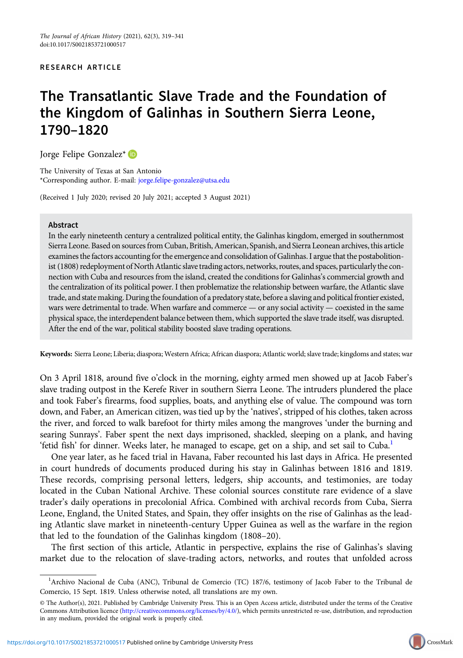#### RESEARCH ARTICLE

# The Transatlantic Slave Trade and the Foundation of the Kingdom of Galinhas in Southern Sierra Leone, 1790–1820

Jorge Felipe Gonzalez\*

The University of Texas at San Antonio \*Corresponding author. E-mail: [jorge.felipe-gonzalez@utsa.edu](mailto:jorge.felipe-gonzalez@utsa.edu)

(Received 1 July 2020; revised 20 July 2021; accepted 3 August 2021)

#### Abstract

In the early nineteenth century a centralized political entity, the Galinhas kingdom, emerged in southernmost Sierra Leone. Based on sources from Cuban, British, American, Spanish, and Sierra Leonean archives, this article examines the factors accountingfor the emergence and consolidation of Galinhas. I argue that the postabolitionist (1808) redeployment of North Atlantic slave trading actors, networks, routes, and spaces, particularly the connection with Cuba and resources from the island, created the conditions for Galinhas's commercial growth and the centralization of its political power. I then problematize the relationship between warfare, the Atlantic slave trade, and state making. During the foundation of a predatory state, before a slaving and political frontier existed, wars were detrimental to trade. When warfare and commerce — or any social activity — coexisted in the same physical space, the interdependent balance between them, which supported the slave trade itself, was disrupted. After the end of the war, political stability boosted slave trading operations.

Keywords: Sierra Leone; Liberia; diaspora; Western Africa; African diaspora; Atlantic world; slave trade; kingdoms and states; war

On 3 April 1818, around five o'clock in the morning, eighty armed men showed up at Jacob Faber's slave trading outpost in the Kerefe River in southern Sierra Leone. The intruders plundered the place and took Faber's firearms, food supplies, boats, and anything else of value. The compound was torn down, and Faber, an American citizen, was tied up by the 'natives', stripped of his clothes, taken across the river, and forced to walk barefoot for thirty miles among the mangroves 'under the burning and searing Sunrays'. Faber spent the next days imprisoned, shackled, sleeping on a plank, and having 'fetid fish' for dinner. Weeks later, he managed to escape, get on a ship, and set sail to Cuba.<sup>1</sup>

One year later, as he faced trial in Havana, Faber recounted his last days in Africa. He presented in court hundreds of documents produced during his stay in Galinhas between 1816 and 1819. These records, comprising personal letters, ledgers, ship accounts, and testimonies, are today located in the Cuban National Archive. These colonial sources constitute rare evidence of a slave trader's daily operations in precolonial Africa. Combined with archival records from Cuba, Sierra Leone, England, the United States, and Spain, they offer insights on the rise of Galinhas as the leading Atlantic slave market in nineteenth-century Upper Guinea as well as the warfare in the region that led to the foundation of the Galinhas kingdom (1808–20).

The first section of this article, Atlantic in perspective, explains the rise of Galinhas's slaving market due to the relocation of slave-trading actors, networks, and routes that unfolded across

<sup>&</sup>lt;sup>1</sup>Archivo Nacional de Cuba (ANC), Tribunal de Comercio (TC) 187/6, testimony of Jacob Faber to the Tribunal de Comercio, 15 Sept. 1819. Unless otherwise noted, all translations are my own.

<sup>©</sup> The Author(s), 2021. Published by Cambridge University Press. This is an Open Access article, distributed under the terms of the Creative Commons Attribution licence [\(http://creativecommons.org/licenses/by/4.0/\)](http://creativecommons.org/licenses/by/4.0/), which permits unrestricted re-use, distribution, and reproduction in any medium, provided the original work is properly cited.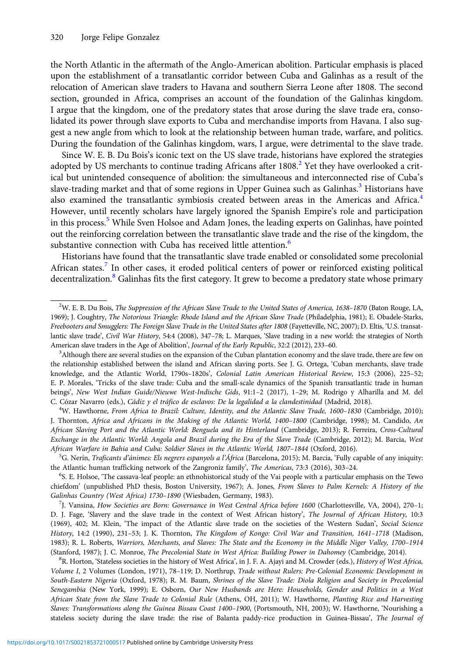the North Atlantic in the aftermath of the Anglo-American abolition. Particular emphasis is placed upon the establishment of a transatlantic corridor between Cuba and Galinhas as a result of the relocation of American slave traders to Havana and southern Sierra Leone after 1808. The second section, grounded in Africa, comprises an account of the foundation of the Galinhas kingdom. I argue that the kingdom, one of the predatory states that arose during the slave trade era, consolidated its power through slave exports to Cuba and merchandise imports from Havana. I also suggest a new angle from which to look at the relationship between human trade, warfare, and politics. During the foundation of the Galinhas kingdom, wars, I argue, were detrimental to the slave trade.

Since W. E. B. Du Bois's iconic text on the US slave trade, historians have explored the strategies adopted by US merchants to continue trading Africans after  $1808<sup>2</sup>$  Yet they have overlooked a critical but unintended consequence of abolition: the simultaneous and interconnected rise of Cuba's slave-trading market and that of some regions in Upper Guinea such as Galinhas.<sup>3</sup> Historians have also examined the transatlantic symbiosis created between areas in the Americas and Africa.<sup>4</sup> However, until recently scholars have largely ignored the Spanish Empire's role and participation in this process.<sup>5</sup> While Sven Holsoe and Adam Jones, the leading experts on Galinhas, have pointed out the reinforcing correlation between the transatlantic slave trade and the rise of the kingdom, the substantive connection with Cuba has received little attention.<sup>6</sup>

Historians have found that the transatlantic slave trade enabled or consolidated some precolonial African states.<sup>7</sup> In other cases, it eroded political centers of power or reinforced existing political decentralization.<sup>8</sup> Galinhas fits the first category. It grew to become a predatory state whose primary

<sup>4</sup>W. Hawthorne, From Africa to Brazil: Culture, Identity, and the Atlantic Slave Trade, 1600-1830 (Cambridge, 2010); J. Thornton, Africa and Africans in the Making of the Atlantic World, 1400–1800 (Cambridge, 1998); M. Candido, An African Slaving Port and the Atlantic World: Benguela and its Hinterland (Cambridge, 2013); R. Ferreira, Cross-Cultural Exchange in the Atlantic World: Angola and Brazil during the Era of the Slave Trade (Cambridge, 2012); M. Barcia, West African Warfare in Bahia and Cuba: Soldier Slaves in the Atlantic World, 1807–<sup>1844</sup> (Oxford, 2016). <sup>5</sup>

<sup>5</sup>G. Nerín, Traficants d'ánimes: Els negrers espanyols a l'África (Barcelona, 2015); M. Barcia, 'Fully capable of any iniquity: the Atlantic human trafficking network of the Zangroniz family', The Americas, 73:3 (2016), 303-24.

S. E. Holsoe, 'The cassava-leaf people: an ethnohistorical study of the Vai people with a particular emphasis on the Tewo chiefdom' (unpublished PhD thesis, Boston University, 1967); A. Jones, From Slaves to Palm Kernels: A History of the Galinhas Country (West Africa) 1730–<sup>1890</sup> (Wiesbaden, Germany, 1983). <sup>7</sup>

J. Vansina, How Societies are Born: Governance in West Central Africa before 1600 (Charlottesville, VA, 2004), 270–1; D. J. Fage, 'Slavery and the slave trade in the context of West African history', The Journal of African History, 10:3 (1969), 402; M. Klein, 'The impact of the Atlantic slave trade on the societies of the Western Sudan', Social Science History, 14:2 (1990), 231–53; J. K. Thornton, The Kingdom of Kongo: Civil War and Transition, 1641–1718 (Madison, 1983); R. L. Roberts, Warriors, Merchants, and Slaves: The State and the Economy in the Middle Niger Valley, 1700–1914 (Stanford, 1987); J. C. Monroe, The Precolonial State in West Africa: Building Power in Dahomey (Cambridge, 2014).

<sup>8</sup>R. Horton, 'Stateless societies in the history of West Africa', in J. F. A. Ajayi and M. Crowder (eds.), History of West Africa, Volume I, 2 Volumes (London, 1971), 78–119; D. Northrup, Trade without Rulers: Pre-Colonial Economic Development in South-Eastern Nigeria (Oxford, 1978); R. M. Baum, Shrines of the Slave Trade: Diola Religion and Society in Precolonial Senegambia (New York, 1999); E. Osborn, Our New Husbands are Here: Households, Gender and Politics in a West African State from the Slave Trade to Colonial Rule (Athens, OH, 2011); W. Hawthorne, Planting Rice and Harvesting Slaves: Transformations along the Guinea Bissau Coast 1400–1900, (Portsmouth, NH, 2003); W. Hawthorne, 'Nourishing a stateless society during the slave trade: the rise of Balanta paddy-rice production in Guinea-Bissau', The Journal of

<sup>2</sup> W. E. B. Du Bois, The Suppression of the African Slave Trade to the United States of America, 1638–1870 (Baton Rouge, LA, 1969); J. Coughtry, The Notorious Triangle: Rhode Island and the African Slave Trade (Philadelphia, 1981); E. Obadele-Starks, Freebooters and Smugglers: The Foreign Slave Trade in the United States after 1808 (Fayetteville, NC, 2007); D. Eltis, 'U.S. transatlantic slave trade', Civil War History, 54:4 (2008), 347–78; L. Marques, 'Slave trading in a new world: the strategies of North American slave traders in the Age of Abolition', Journal of the Early Republic, 32:2 (2012), 233-60.

<sup>&</sup>lt;sup>3</sup>Although there are several studies on the expansion of the Cuban plantation economy and the slave trade, there are few on the relationship established between the island and African slaving ports. See J. G. Ortega, 'Cuban merchants, slave trade knowledge, and the Atlantic World, 1790s–1820s', Colonial Latin American Historical Review, 15:3 (2006), 225–52; E. P. Morales, 'Tricks of the slave trade: Cuba and the small-scale dynamics of the Spanish transatlantic trade in human beings', New West Indian Guide/Nieuwe West-Indische Gids, 91:1–2 (2017), 1–29; M. Rodrigo y Alharilla and M. del C. Cózar Navarro (eds.), Cádiz y el tráfico de esclavos: De la legalidad a la clandestinidad (Madrid, 2018). <sup>4</sup>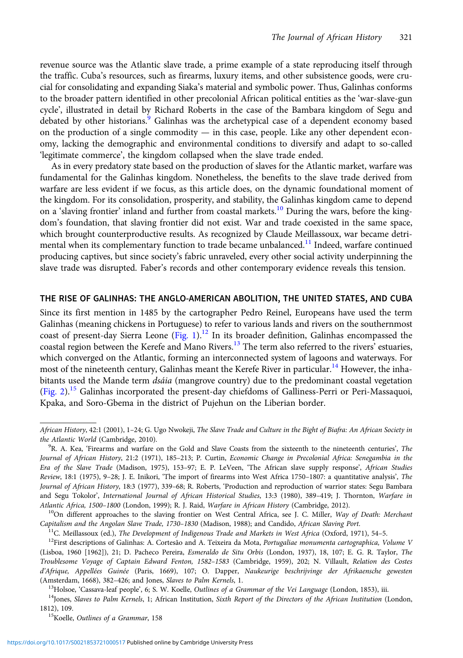revenue source was the Atlantic slave trade, a prime example of a state reproducing itself through the traffic. Cuba's resources, such as firearms, luxury items, and other subsistence goods, were crucial for consolidating and expanding Siaka's material and symbolic power. Thus, Galinhas conforms to the broader pattern identified in other precolonial African political entities as the 'war-slave-gun cycle', illustrated in detail by Richard Roberts in the case of the Bambara kingdom of Segu and debated by other historians.<sup>9</sup> Galinhas was the archetypical case of a dependent economy based on the production of a single commodity  $-$  in this case, people. Like any other dependent economy, lacking the demographic and environmental conditions to diversify and adapt to so-called 'legitimate commerce', the kingdom collapsed when the slave trade ended.

As in every predatory state based on the production of slaves for the Atlantic market, warfare was fundamental for the Galinhas kingdom. Nonetheless, the benefits to the slave trade derived from warfare are less evident if we focus, as this article does, on the dynamic foundational moment of the kingdom. For its consolidation, prosperity, and stability, the Galinhas kingdom came to depend on a 'slaving frontier' inland and further from coastal markets.<sup>10</sup> During the wars, before the kingdom's foundation, that slaving frontier did not exist. War and trade coexisted in the same space, which brought counterproductive results. As recognized by Claude Meillassoux, war became detrimental when its complementary function to trade became unbalanced.<sup>11</sup> Indeed, warfare continued producing captives, but since society's fabric unraveled, every other social activity underpinning the slave trade was disrupted. Faber's records and other contemporary evidence reveals this tension.

### THE RISE OF GALINHAS: THE ANGLO-AMERICAN ABOLITION, THE UNITED STATES, AND CUBA

Since its first mention in 1485 by the cartographer Pedro Reinel, Europeans have used the term Galinhas (meaning chickens in Portuguese) to refer to various lands and rivers on the southernmost coast of present-day Sierra Leone [\(Fig. 1](#page-3-0)).<sup>12</sup> In its broader definition, Galinhas encompassed the coastal region between the Kerefe and Mano Rivers.<sup>13</sup> The term also referred to the rivers' estuaries, which converged on the Atlantic, forming an interconnected system of lagoons and waterways. For most of the nineteenth century, Galinhas meant the Kerefe River in particular.<sup>14</sup> However, the inhabitants used the Mande term *dsáia* (mangrove country) due to the predominant coastal vegetation ([Fig. 2\)](#page-4-0).<sup>15</sup> Galinhas incorporated the present-day chiefdoms of Galliness-Perri or Peri-Massaquoi, Kpaka, and Soro-Gbema in the district of Pujehun on the Liberian border.

African History, 42:1 (2001), 1–24; G. Ugo Nwokeji, The Slave Trade and Culture in the Bight of Biafra: An African Society in the Atlantic World (Cambridge, 2010).

 $R^9R$ . A. Kea, 'Firearms and warfare on the Gold and Slave Coasts from the sixteenth to the nineteenth centuries', The Journal of African History, 21:2 (1971), 185–213; P. Curtin, Economic Change in Precolonial Africa: Senegambia in the Era of the Slave Trade (Madison, 1975), 153–97; E. P. LeVeen, 'The African slave supply response', African Studies Review, 18:1 (1975), 9–28; J. E. Inikori, 'The import of firearms into West Africa 1750–1807: a quantitative analysis', The Journal of African History, 18:3 (1977), 339–68; R. Roberts, 'Production and reproduction of warrior states: Segu Bambara and Segu Tokolor', International Journal of African Historical Studies, 13:3 (1980), 389-419; J. Thornton, Warfare in Atlantic Africa, 1500–1800 (London, 1999); R. J. Raid, Warfare in African History (Cambridge, 2012).<br><sup>10</sup>On different approaches to the slaving frontier on West Central Africa, see J. C. Miller, Way of Death: Merchant

Capitalism and the Angolan Slave Trade, 1730–1830 (Madison, 1988); and Candido, African Slaving Port.<br><sup>11</sup>C. Meillassoux (ed.), *The Development of Indigenous Trade and Markets in West Africa* (Oxford, 1971), 54–5.<br><sup>12</sup>Fi (Lisboa, 1960 [1962]), 21; D. Pacheco Pereira, Esmeraldo de Situ Orbis (London, 1937), 18, 107; E. G. R. Taylor, The Troublesome Voyage of Captain Edward Fenton, 1582–1583 (Cambridge, 1959), 202; N. Villault, Relation des Costes d'Afrique, Appellées Guinée (Paris, 1669), 107; O. Dapper, Naukeurige beschrijvinge der Afrikaensche gewesten (Amsterdam, 1668), 382–426; and Jones, *Slaves to Palm Kernels*, 1.<br><sup>13</sup>Holsoe, 'Cassava-leaf people', 6; S. W. Koelle, *Outlines of a Grammar of the Vei Language* (London, 1853), iii.<br><sup>14</sup>Jones, *Slaves to Palm Kernels*,

<sup>1812), 109.&</sup>lt;br> $15K$ oelle, Outlines of a Grammar, 158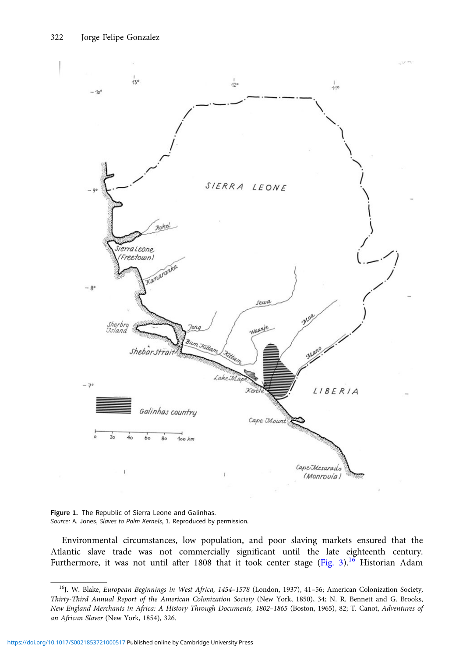<span id="page-3-0"></span>

Figure 1. The Republic of Sierra Leone and Galinhas. Source: A. Jones, Slaves to Palm Kernels, 1. Reproduced by permission.

Environmental circumstances, low population, and poor slaving markets ensured that the Atlantic slave trade was not commercially significant until the late eighteenth century. Furthermore, it was not until after 1808 that it took center stage ([Fig. 3\)](#page-5-0).<sup>16</sup> Historian Adam

<sup>&</sup>lt;sup>16</sup>J. W. Blake, European Beginnings in West Africa, 1454-1578 (London, 1937), 41-56; American Colonization Society, Thirty-Third Annual Report of the American Colonization Society (New York, 1850), 34; N. R. Bennett and G. Brooks, New England Merchants in Africa: A History Through Documents, 1802–1865 (Boston, 1965), 82; T. Canot, Adventures of an African Slaver (New York, 1854), 326.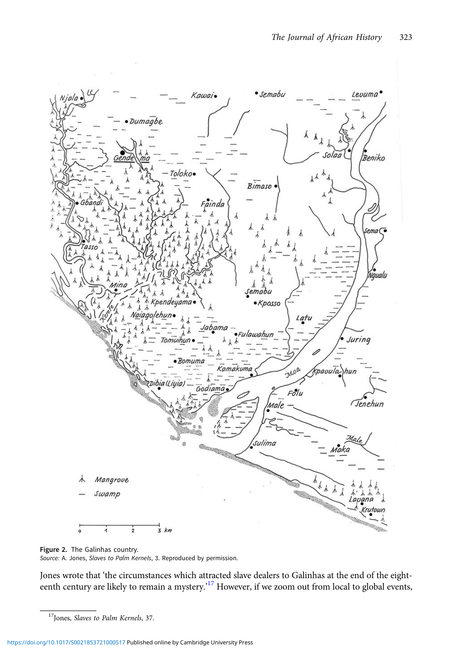<span id="page-4-0"></span>

Figure 2. The Galinhas country. Source: A. Jones, Slaves to Palm Kernels, 3. Reproduced by permission.

Jones wrote that 'the circumstances which attracted slave dealers to Galinhas at the end of the eighteenth century are likely to remain a mystery.'<sup>17</sup> However, if we zoom out from local to global events,

<sup>&</sup>lt;sup>17</sup>Jones, Slaves to Palm Kernels, 37.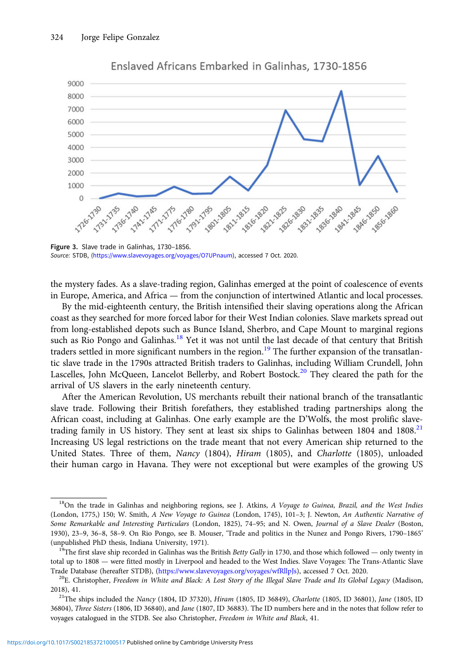<span id="page-5-0"></span>

Enslaved Africans Embarked in Galinhas, 1730-1856

Figure 3. Slave trade in Galinhas, 1730–1856. Source: STDB, [\(https://www.slavevoyages.org/voyages/O7UPnaum\)](https://www.slavevoyages.org/voyages/O7UPnaum), accessed 7 Oct. 2020.

the mystery fades. As a slave-trading region, Galinhas emerged at the point of coalescence of events in Europe, America, and Africa — from the conjunction of intertwined Atlantic and local processes.

By the mid-eighteenth century, the British intensified their slaving operations along the African coast as they searched for more forced labor for their West Indian colonies. Slave markets spread out from long-established depots such as Bunce Island, Sherbro, and Cape Mount to marginal regions such as Rio Pongo and Galinhas.<sup>18</sup> Yet it was not until the last decade of that century that British traders settled in more significant numbers in the region.<sup>19</sup> The further expansion of the transatlantic slave trade in the 1790s attracted British traders to Galinhas, including William Crundell, John Lascelles, John McQueen, Lancelot Bellerby, and Robert Bostock.<sup>20</sup> They cleared the path for the arrival of US slavers in the early nineteenth century.

After the American Revolution, US merchants rebuilt their national branch of the transatlantic slave trade. Following their British forefathers, they established trading partnerships along the African coast, including at Galinhas. One early example are the D'Wolfs, the most prolific slavetrading family in US history. They sent at least six ships to Galinhas between 1804 and 1808.<sup>21</sup> Increasing US legal restrictions on the trade meant that not every American ship returned to the United States. Three of them, Nancy (1804), Hiram (1805), and Charlotte (1805), unloaded their human cargo in Havana. They were not exceptional but were examples of the growing US

 $18$ On the trade in Galinhas and neighboring regions, see J. Atkins, A Voyage to Guinea, Brazil, and the West Indies (London, 1775,) 150; W. Smith, A New Voyage to Guinea (London, 1745), 101–3; J. Newton, An Authentic Narrative of Some Remarkable and Interesting Particulars (London, 1825), 74–95; and N. Owen, Journal of a Slave Dealer (Boston, 1930), 23–9, 36–8, 58–9. On Rio Pongo, see B. Mouser, 'Trade and politics in the Nunez and Pongo Rivers, 1790–1865' (unpublished PhD thesis, Indiana University, 1971).<br><sup>19</sup>The first slave ship recorded in Galinhas was the British *Betty Gally* in 1730, and those which followed — only twenty in

total up to 1808 — were fitted mostly in Liverpool and headed to the West Indies. Slave Voyages: The Trans-Atlantic Slave

Trade Database (hereafter STDB), (<https://www.slavevoyages.org/voyages/wfRllpJs>), accessed 7 Oct. 2020.<br><sup>20</sup>E. Christopher, Freedom in White and Black: A Lost Story of the Illegal Slave Trade and Its Global Legacy (Madison 2018), 41.<br><sup>21</sup>The ships included the Nancy (1804, ID 37320), *Hiram* (1805, ID 36849), *Charlotte* (1805, ID 36801), *Jane* (1805, ID

<sup>36804),</sup> Three Sisters (1806, ID 36840), and Jane (1807, ID 36883). The ID numbers here and in the notes that follow refer to voyages catalogued in the STDB. See also Christopher, Freedom in White and Black, 41.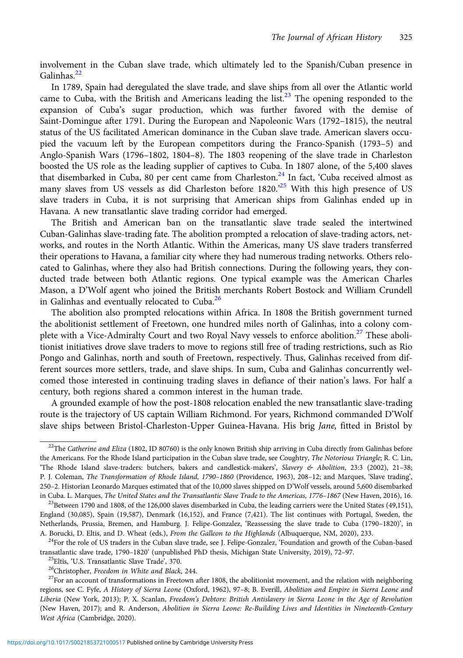involvement in the Cuban slave trade, which ultimately led to the Spanish/Cuban presence in Galinhas.<sup>22</sup>

In 1789, Spain had deregulated the slave trade, and slave ships from all over the Atlantic world came to Cuba, with the British and Americans leading the list.<sup>23</sup> The opening responded to the expansion of Cuba's sugar production, which was further favored with the demise of Saint-Domingue after 1791. During the European and Napoleonic Wars (1792–1815), the neutral status of the US facilitated American dominance in the Cuban slave trade. American slavers occupied the vacuum left by the European competitors during the Franco-Spanish (1793–5) and Anglo-Spanish Wars (1796–1802, 1804–8). The 1803 reopening of the slave trade in Charleston boosted the US role as the leading supplier of captives to Cuba. In 1807 alone, of the 5,400 slaves that disembarked in Cuba, 80 per cent came from Charleston.<sup>24</sup> In fact, 'Cuba received almost as many slaves from US vessels as did Charleston before 1820.<sup>25</sup> With this high presence of US slave traders in Cuba, it is not surprising that American ships from Galinhas ended up in Havana. A new transatlantic slave trading corridor had emerged.

The British and American ban on the transatlantic slave trade sealed the intertwined Cuban-Galinhas slave-trading fate. The abolition prompted a relocation of slave-trading actors, networks, and routes in the North Atlantic. Within the Americas, many US slave traders transferred their operations to Havana, a familiar city where they had numerous trading networks. Others relocated to Galinhas, where they also had British connections. During the following years, they conducted trade between both Atlantic regions. One typical example was the American Charles Mason, a D'Wolf agent who joined the British merchants Robert Bostock and William Crundell in Galinhas and eventually relocated to Cuba.<sup>26</sup>

The abolition also prompted relocations within Africa. In 1808 the British government turned the abolitionist settlement of Freetown, one hundred miles north of Galinhas, into a colony complete with a Vice-Admiralty Court and two Royal Navy vessels to enforce abolition.<sup>27</sup> These abolitionist initiatives drove slave traders to move to regions still free of trading restrictions, such as Rio Pongo and Galinhas, north and south of Freetown, respectively. Thus, Galinhas received from different sources more settlers, trade, and slave ships. In sum, Cuba and Galinhas concurrently welcomed those interested in continuing trading slaves in defiance of their nation's laws. For half a century, both regions shared a common interest in the human trade.

A grounded example of how the post-1808 relocation enabled the new transatlantic slave-trading route is the trajectory of US captain William Richmond. For years, Richmond commanded D'Wolf slave ships between Bristol-Charleston-Upper Guinea-Havana. His brig Jane, fitted in Bristol by

 $22$ The Catherine and Eliza (1802, ID 80760) is the only known British ship arriving in Cuba directly from Galinhas before the Americans. For the Rhode Island participation in the Cuban slave trade, see Coughtry, The Notorious Triangle; R. C. Lin, 'The Rhode Island slave-traders: butchers, bakers and candlestick-makers', Slavery & Abolition, 23:3 (2002), 21–38; P. J. Coleman, The Transformation of Rhode Island, 1790–1860 (Providence, 1963), 208–12; and Marques, 'Slave trading', 250–2. Historian Leonardo Marques estimated that of the 10,000 slaves shipped on D'Wolf vessels, around 5,600 disembarked in Cuba. L. Marques, *The United States and the Transatlantic Slave Trade to the Americas, 1776–1867* (New Haven, 2016), 16.<br><sup>23</sup>Between 1790 and 1808, of the 126,000 slaves disembarked in Cuba, the leading carriers were t

England (30,085), Spain (19,587), Denmark (16,152), and France (7,421). The list continues with Portugal, Sweden, the Netherlands, Prussia, Bremen, and Hamburg. J. Felipe-Gonzalez, 'Reassessing the slave trade to Cuba (1790–1820)', in

A. Borucki, D. Eltis, and D. Wheat (eds.), From the Galleon to the Highlands (Albuquerque, NM, 2020), 233.<br><sup>24</sup>For the role of US traders in the Cuban slave trade, see J. Felipe-Gonzalez, 'Foundation and growth of the Cuba transatlantic slave trade, 1790–1820' (unpublished PhD thesis, Michigan State University, 2019), 72–97.<br><sup>25</sup>Eltis, 'U.S. Transatlantic Slave Trade', 370.<br><sup>26</sup>Christopher, *Freedom in White and Black*, 244.<br><sup>27</sup>For an acco

regions, see C. Fyfe, A History of Sierra Leone (Oxford, 1962), 97–8; B. Everill, Abolition and Empire in Sierra Leone and Liberia (New York, 2013); P. X. Scanlan, Freedom's Debtors: British Antislavery in Sierra Leone in the Age of Revolution (New Haven, 2017); and R. Anderson, Abolition in Sierra Leone: Re-Building Lives and Identities in Nineteenth-Century West Africa (Cambridge, 2020).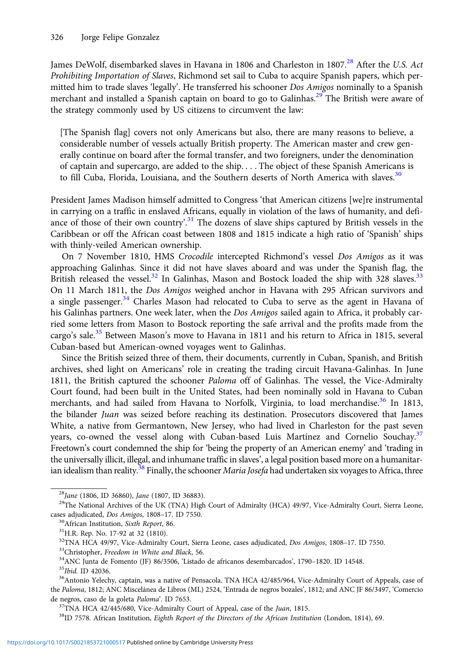James DeWolf, disembarked slaves in Havana in 1806 and Charleston in 1807.<sup>28</sup> After the U.S. Act Prohibiting Importation of Slaves, Richmond set sail to Cuba to acquire Spanish papers, which permitted him to trade slaves 'legally'. He transferred his schooner *Dos Amigos* nominally to a Spanish merchant and installed a Spanish captain on board to go to Galinhas.<sup>29</sup> The British were aware of the strategy commonly used by US citizens to circumvent the law:

[The Spanish flag] covers not only Americans but also, there are many reasons to believe, a considerable number of vessels actually British property. The American master and crew generally continue on board after the formal transfer, and two foreigners, under the denomination of captain and supercargo, are added to the ship. . . . The object of these Spanish Americans is to fill Cuba, Florida, Louisiana, and the Southern deserts of North America with slaves.<sup>30</sup>

President James Madison himself admitted to Congress 'that American citizens [we]re instrumental in carrying on a traffic in enslaved Africans, equally in violation of the laws of humanity, and defiance of those of their own country'.<sup>31</sup> The dozens of slave ships captured by British vessels in the Caribbean or off the African coast between 1808 and 1815 indicate a high ratio of 'Spanish' ships with thinly-veiled American ownership.

On 7 November 1810, HMS Crocodile intercepted Richmond's vessel Dos Amigos as it was approaching Galinhas. Since it did not have slaves aboard and was under the Spanish flag, the British released the vessel.<sup>32</sup> In Galinhas, Mason and Bostock loaded the ship with 328 slaves.<sup>33</sup> On 11 March 1811, the Dos Amigos weighed anchor in Havana with 295 African survivors and a single passenger.<sup>34</sup> Charles Mason had relocated to Cuba to serve as the agent in Havana of his Galinhas partners. One week later, when the *Dos Amigos* sailed again to Africa, it probably carried some letters from Mason to Bostock reporting the safe arrival and the profits made from the cargo's sale.<sup>35</sup> Between Mason's move to Havana in 1811 and his return to Africa in 1815, several Cuban-based but American-owned voyages went to Galinhas.

Since the British seized three of them, their documents, currently in Cuban, Spanish, and British archives, shed light on Americans' role in creating the trading circuit Havana-Galinhas. In June 1811, the British captured the schooner Paloma off of Galinhas. The vessel, the Vice-Admiralty Court found, had been built in the United States, had been nominally sold in Havana to Cuban merchants, and had sailed from Havana to Norfolk, Virginia, to load merchandise.<sup>36</sup> In 1813, the bilander Juan was seized before reaching its destination. Prosecutors discovered that James White, a native from Germantown, New Jersey, who had lived in Charleston for the past seven years, co-owned the vessel along with Cuban-based Luis Martínez and Cornelio Souchay.<sup>37</sup> Freetown's court condemned the ship for 'being the property of an American enemy' and 'trading in the universally illicit, illegal, and inhumane traffic in slaves', a legal position based more on a humanitarian idealism than reality.<sup>38</sup> Finally, the schooner *Maria Josefa* had undertaken six voyages to Africa, three

<sup>&</sup>lt;sup>28</sup>Jane (1806, ID 36860), Jane (1807, ID 36883).<br><sup>29</sup>The National Archives of the UK (TNA) High Court of Admiralty (HCA) 49/97, Vice-Admiralty Court, Sierra Leone, cases adjudicated, *Dos Amigos*, 1808–17. ID 7550.<br><sup>30</sup>African Institution, *Sixth Report*, 86.<br><sup>31</sup>H.R. Rep. No. 17-92 at 32 (1810).<br><sup>32</sup>TNA HCA 49/97, Vice-Admiralty Court, Sierra Leone, cases adjudicated, *Dos Amigos*,

<sup>&</sup>lt;sup>33</sup>Christopher, *Freedom in White and Black*, 56.<br><sup>34</sup>ANC Junta de Fomento (JF) 86/3506, 'Listado de africanos desembarcados', 1790–1820. ID 14548.<br><sup>35</sup>*Ibid*. ID 42036.<br><sup>36</sup>Antonio Yelechy, captain, was a native of Pens the Paloma, 1812; ANC Miscelánea de Libros (ML) 2524, 'Entrada de negros bozales', 1812; and ANC JF 86/3497, 'Comercio de negros, caso de la goleta *Paloma*'. ID 7653.<br><sup>37</sup>TNA HCA 42/445/680, Vice-Admiralty Court of Appeal, case of the *Juan*, 1815.<br><sup>38</sup>ID 7578. African Institution, *Eighth Report of the Directors of the African Institutio*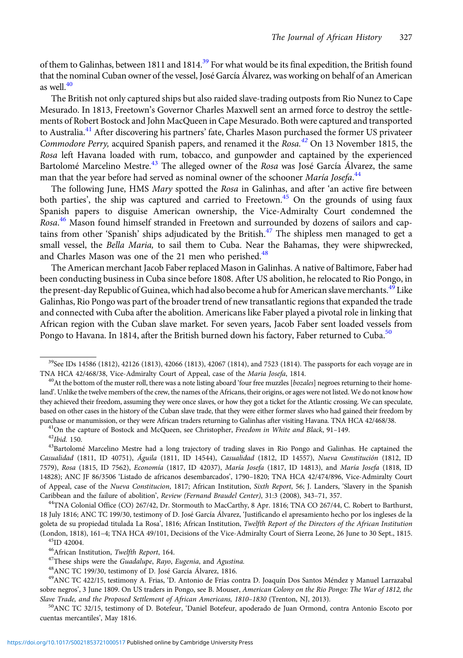of them to Galinhas, between 1811 and 1814.<sup>39</sup> For what would be its final expedition, the British found that the nominal Cuban owner of the vessel, José García Álvarez, was working on behalf of an American as well. $40$ 

The British not only captured ships but also raided slave-trading outposts from Rio Nunez to Cape Mesurado. In 1813, Freetown's Governor Charles Maxwell sent an armed force to destroy the settlements of Robert Bostock and John MacQueen in Cape Mesurado. Both were captured and transported to Australia.<sup>41</sup> After discovering his partners' fate, Charles Mason purchased the former US privateer Commodore Perry, acquired Spanish papers, and renamed it the Rosa.<sup>42</sup> On 13 November 1815, the Rosa left Havana loaded with rum, tobacco, and gunpowder and captained by the experienced Bartolomé Marcelino Mestre.<sup>43</sup> The alleged owner of the Rosa was José García Álvarez, the same man that the year before had served as nominal owner of the schooner *María Josefa.<sup>44</sup>* 

The following June, HMS Mary spotted the Rosa in Galinhas, and after 'an active fire between both parties', the ship was captured and carried to Freetown.<sup>45</sup> On the grounds of using faux Spanish papers to disguise American ownership, the Vice-Admiralty Court condemned the Rosa.<sup>46</sup> Mason found himself stranded in Freetown and surrounded by dozens of sailors and captains from other 'Spanish' ships adjudicated by the British.<sup>47</sup> The shipless men managed to get a small vessel, the Bella Maria, to sail them to Cuba. Near the Bahamas, they were shipwrecked, and Charles Mason was one of the 21 men who perished.<sup>48</sup>

The American merchant Jacob Faber replaced Mason in Galinhas. A native of Baltimore, Faber had been conducting business in Cuba since before 1808. After US abolition, he relocated to Rio Pongo, in the present-day Republic of Guinea, which had also become a hub for American slave merchants.<sup>49</sup> Like Galinhas, Rio Pongo was part of the broader trend of new transatlantic regions that expanded the trade and connected with Cuba after the abolition. Americans like Faber played a pivotal role in linking that African region with the Cuban slave market. For seven years, Jacob Faber sent loaded vessels from Pongo to Havana. In 1814, after the British burned down his factory, Faber returned to Cuba.<sup>50</sup>

<sup>&</sup>lt;sup>39</sup>See IDs 14586 (1812), 42126 (1813), 42066 (1813), 42067 (1814), and 7523 (1814). The passports for each voyage are in TNA HCA 42/468/38, Vice-Admiralty Court of Appeal, case of the *Maria Josefa*, 1814.<br><sup>40</sup>At the bottom of the muster roll, there was a note listing aboard 'four free muzzles [bozales] negroes returning to their home-

land'. Unlike the twelve members of the crew, the names of the Africans, their origins, or ages were not listed. We do not know how they achieved their freedom, assuming they were once slaves, or how they got a ticket for the Atlantic crossing. We can speculate, based on other cases in the history of the Cuban slave trade, that they were either former slaves who had gained their freedom by

purchase or manumission, or they were African traders returning to Galinhas after visiting Havana. TNA HCA 42/468/38.<br><sup>41</sup>On the capture of Bostock and McQueen, see Christopher, *Freedom in White and Black*, 91–149.<br><sup>42</sup>*I* Casualidad (1811, ID 40751), Águila (1811, ID 14544), Casualidad (1812, ID 14557), Nueva Constitución (1812, ID 7579), Rosa (1815, ID 7562), Economía (1817, ID 42037), María Josefa (1817, ID 14813), and María Josefa (1818, ID 14828); ANC JF 86/3506 'Listado de africanos desembarcados', 1790–1820; TNA HCA 42/474/896, Vice-Admiralty Court of Appeal, case of the Nueva Constitucion, 1817; African Institution, Sixth Report, 56; J. Landers, 'Slavery in the Spanish Caribbean and the failure of abolition', Review (Fernand Braudel Center), 31:3 (2008), 343-71, 357.<br><sup>44</sup>TNA Colonial Office (CO) 267/42, Dr. Stormouth to MacCarthy, 8 Apr. 1816; TNA CO 267/44, C. Robert to Barthurst,

<sup>18</sup> July 1816; ANC TC 199/30, testimony of D. José García Álvarez, 'Justificando el apresamiento hecho por los ingleses de la goleta de su propiedad titulada La Rosa', 1816; African Institution, Twelfth Report of the Directors of the African Institution (London, 1818), 161–4; TNA HCA 49/101, Decisions of the Vice-Admiralty Court of Sierra Leone, 26 June to 30 Sept., 1815.<br><sup>45</sup>ID 42004.<br><sup>46</sup>African Institution, *Twelfth Report*, 164.

<sup>&</sup>lt;sup>47</sup>These ships were the *Guadalupe*, Rayo, Eugenia, and Agustina.  $^{48}$ ANC TC 199/30, testimony of D. José García Álvarez, 1816.

<sup>49</sup>ANC TC 422/15, testimony A. Frias, 'D. Antonio de Frías contra D. Joaquín Dos Santos Méndez y Manuel Larrazabal sobre negros', 3 June 1809. On US traders in Pongo, see B. Mouser, American Colony on the Rio Pongo: The War of 1812, the Slave Trade, and the Proposed Settlement of African Americans, 1810–1830 (Trenton, NJ, 2013).<br><sup>50</sup>ANC TC 32/15, testimony of D. Botefeur, 'Daniel Botefeur, apoderado de Juan Ormond, contra Antonio Escoto por

cuentas mercantiles', May 1816.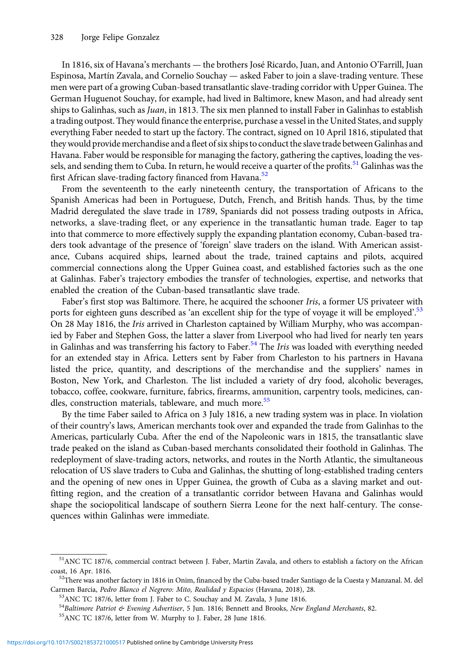In 1816, six of Havana's merchants — the brothers José Ricardo, Juan, and Antonio O'Farrill, Juan Espinosa, Martín Zavala, and Cornelio Souchay — asked Faber to join a slave-trading venture. These men were part of a growing Cuban-based transatlantic slave-trading corridor with Upper Guinea. The German Huguenot Souchay, for example, had lived in Baltimore, knew Mason, and had already sent ships to Galinhas, such as *Juan*, in 1813. The six men planned to install Faber in Galinhas to establish a trading outpost. They would finance the enterprise, purchase a vessel in the United States, and supply everything Faber needed to start up the factory. The contract, signed on 10 April 1816, stipulated that they would provide merchandise and afleet of six ships to conduct the slave trade between Galinhas and Havana. Faber would be responsible for managing the factory, gathering the captives, loading the vessels, and sending them to Cuba. In return, he would receive a quarter of the profits.<sup>51</sup> Galinhas was the first African slave-trading factory financed from Havana.<sup>52</sup>

From the seventeenth to the early nineteenth century, the transportation of Africans to the Spanish Americas had been in Portuguese, Dutch, French, and British hands. Thus, by the time Madrid deregulated the slave trade in 1789, Spaniards did not possess trading outposts in Africa, networks, a slave-trading fleet, or any experience in the transatlantic human trade. Eager to tap into that commerce to more effectively supply the expanding plantation economy, Cuban-based traders took advantage of the presence of 'foreign' slave traders on the island. With American assistance, Cubans acquired ships, learned about the trade, trained captains and pilots, acquired commercial connections along the Upper Guinea coast, and established factories such as the one at Galinhas. Faber's trajectory embodies the transfer of technologies, expertise, and networks that enabled the creation of the Cuban-based transatlantic slave trade.

Faber's first stop was Baltimore. There, he acquired the schooner Iris, a former US privateer with ports for eighteen guns described as 'an excellent ship for the type of voyage it will be employed'.<sup>53</sup> On 28 May 1816, the *Iris* arrived in Charleston captained by William Murphy, who was accompanied by Faber and Stephen Goss, the latter a slaver from Liverpool who had lived for nearly ten years in Galinhas and was transferring his factory to Faber.<sup>54</sup> The *Iris* was loaded with everything needed for an extended stay in Africa. Letters sent by Faber from Charleston to his partners in Havana listed the price, quantity, and descriptions of the merchandise and the suppliers' names in Boston, New York, and Charleston. The list included a variety of dry food, alcoholic beverages, tobacco, coffee, cookware, furniture, fabrics, firearms, ammunition, carpentry tools, medicines, candles, construction materials, tableware, and much more.<sup>55</sup>

By the time Faber sailed to Africa on 3 July 1816, a new trading system was in place. In violation of their country's laws, American merchants took over and expanded the trade from Galinhas to the Americas, particularly Cuba. After the end of the Napoleonic wars in 1815, the transatlantic slave trade peaked on the island as Cuban-based merchants consolidated their foothold in Galinhas. The redeployment of slave-trading actors, networks, and routes in the North Atlantic, the simultaneous relocation of US slave traders to Cuba and Galinhas, the shutting of long-established trading centers and the opening of new ones in Upper Guinea, the growth of Cuba as a slaving market and outfitting region, and the creation of a transatlantic corridor between Havana and Galinhas would shape the sociopolitical landscape of southern Sierra Leone for the next half-century. The consequences within Galinhas were immediate.

<sup>51</sup>ANC TC 187/6, commercial contract between J. Faber, Martin Zavala, and others to establish a factory on the African coast, 16 Apr. 1816. 52There was another factory in 1816 in Onim, financed by the Cuba-based trader Santiago de la Cuesta y Manzanal. M. del

Carmen Barcia, Pedro Blanco el Negrero: Mito, Realidad y Espacios (Havana, 2018), 28. 53ANC TC 187/6, letter from J. Faber to C. Souchay and M. Zavala, 3 June 1816.

<sup>&</sup>lt;sup>54</sup>Baltimore Patriot & Evening Advertiser, 5 Jun. 1816; Bennett and Brooks, New England Merchants, 82.<br><sup>55</sup>ANC TC 187/6, letter from W. Murphy to J. Faber, 28 June 1816.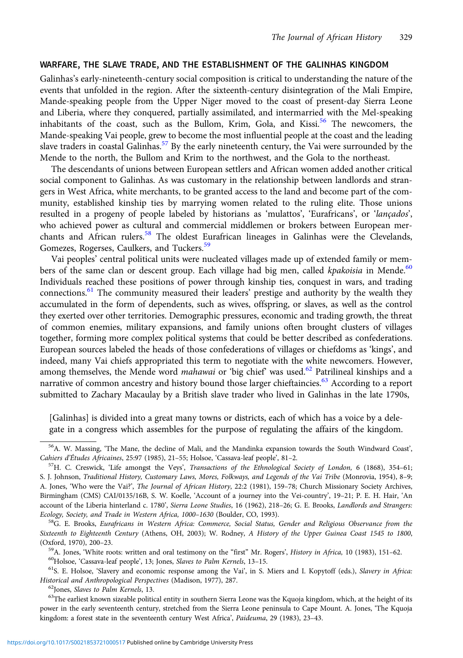## WARFARE, THE SLAVE TRADE, AND THE ESTABLISHMENT OF THE GALINHAS KINGDOM

Galinhas's early-nineteenth-century social composition is critical to understanding the nature of the events that unfolded in the region. After the sixteenth-century disintegration of the Mali Empire, Mande-speaking people from the Upper Niger moved to the coast of present-day Sierra Leone and Liberia, where they conquered, partially assimilated, and intermarried with the Mel-speaking inhabitants of the coast, such as the Bullom, Krim, Gola, and Kissi.<sup>56</sup> The newcomers, the Mande-speaking Vai people, grew to become the most influential people at the coast and the leading slave traders in coastal Galinhas.<sup>57</sup> By the early nineteenth century, the Vai were surrounded by the Mende to the north, the Bullom and Krim to the northwest, and the Gola to the northeast.

The descendants of unions between European settlers and African women added another critical social component to Galinhas. As was customary in the relationship between landlords and strangers in West Africa, white merchants, to be granted access to the land and become part of the community, established kinship ties by marrying women related to the ruling elite. Those unions resulted in a progeny of people labeled by historians as 'mulattos', 'Eurafricans', or 'lançados', who achieved power as cultural and commercial middlemen or brokers between European merchants and African rulers.<sup>58</sup> The oldest Eurafrican lineages in Galinhas were the Clevelands, Gomezes, Rogerses, Caulkers, and Tuckers.<sup>59</sup>

Vai peoples' central political units were nucleated villages made up of extended family or members of the same clan or descent group. Each village had big men, called *kpakoisia* in Mende.<sup>60</sup> Individuals reached these positions of power through kinship ties, conquest in wars, and trading connections. $61$  The community measured their leaders' prestige and authority by the wealth they accumulated in the form of dependents, such as wives, offspring, or slaves, as well as the control they exerted over other territories. Demographic pressures, economic and trading growth, the threat of common enemies, military expansions, and family unions often brought clusters of villages together, forming more complex political systems that could be better described as confederations. European sources labeled the heads of those confederations of villages or chiefdoms as 'kings', and indeed, many Vai chiefs appropriated this term to negotiate with the white newcomers. However, among themselves, the Mende word *mahawai* or 'big chief' was used.<sup>62</sup> Patrilineal kinships and a narrative of common ancestry and history bound those larger chieftaincies.<sup>63</sup> According to a report submitted to Zachary Macaulay by a British slave trader who lived in Galinhas in the late 1790s,

[Galinhas] is divided into a great many towns or districts, each of which has a voice by a delegate in a congress which assembles for the purpose of regulating the affairs of the kingdom.

Historical and Anthropological Perspectives (Madison, 1977), 287.<br><sup>62</sup>Jones, *Slaves to Palm Kernels*, 13.<br><sup>63</sup>The earliest known sizeable political entity in southern Sierra Leone was the Kquoja kingdom, which, at the hei

power in the early seventeenth century, stretched from the Sierra Leone peninsula to Cape Mount. A. Jones, 'The Kquoja kingdom: a forest state in the seventeenth century West Africa', Paideuma, 29 (1983), 23–43.

<sup>56</sup>A. W. Massing, 'The Mane, the decline of Mali, and the Mandinka expansion towards the South Windward Coast', Cahiers d'Études Africaines, 25:97 (1985), 21–55; Holsoe, 'Cassava-leaf people', 81–2.<br><sup>57</sup>H. C. Creswick, 'Life amongst the Veys', *Transactions of the Ethnological Society of London*, 6 (1868), 354–61;

S. J. Johnson, Traditional History, Customary Laws, Mores, Folkways, and Legends of the Vai Tribe (Monrovia, 1954), 8–9; A. Jones, 'Who were the Vai?', The Journal of African History, 22:2 (1981), 159–78; Church Missionary Society Archives, Birmingham (CMS) CAI/0135/16B, S. W. Koelle, 'Account of a journey into the Vei-country', 19–21; P. E. H. Hair, 'An account of the Liberia hinterland c. 1780', Sierra Leone Studies, 16 (1962), 218-26; G. E. Brooks, Landlords and Strangers: Ecology, Society, and Trade in Western Africa, 1000–1630 (Boulder, CO, 1993).<br><sup>58</sup>G. E. Brooks, Eurafricans in Western Africa: Commerce, Social Status, Gender and Religious Observance from the

Sixteenth to Eighteenth Century (Athens, OH, 2003); W. Rodney, A History of the Upper Guinea Coast 1545 to 1800, (Oxford, 1970), 200–23.<br><sup>59</sup>A. Jones, 'White roots: written and oral testimony on the "first" Mr. Rogers', *History in Africa*, 10 (1983), 151–62.<br><sup>60</sup>Holsoe, 'Cassava-leaf people', 13; Jones, *Slaves to Palm Kernels*, 13–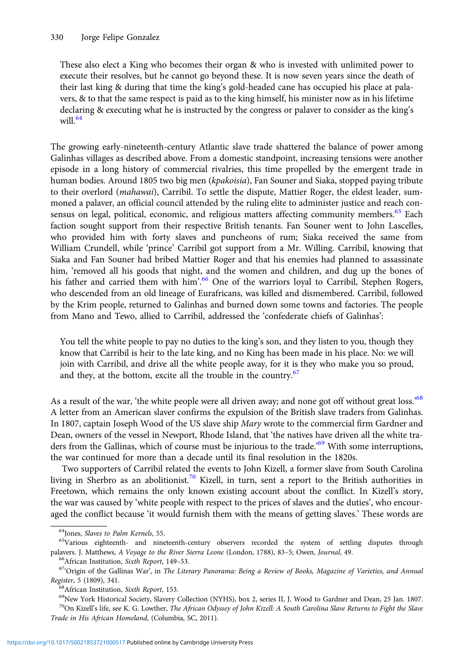These also elect a King who becomes their organ & who is invested with unlimited power to execute their resolves, but he cannot go beyond these. It is now seven years since the death of their last king & during that time the king's gold-headed cane has occupied his place at palavers, & to that the same respect is paid as to the king himself, his minister now as in his lifetime declaring & executing what he is instructed by the congress or palaver to consider as the king's will. $64$ 

The growing early-nineteenth-century Atlantic slave trade shattered the balance of power among Galinhas villages as described above. From a domestic standpoint, increasing tensions were another episode in a long history of commercial rivalries, this time propelled by the emergent trade in human bodies. Around 1805 two big men (kpakoisia), Fan Souner and Siaka, stopped paying tribute to their overlord (mahawai), Carribil. To settle the dispute, Mattier Roger, the eldest leader, summoned a palaver, an official council attended by the ruling elite to administer justice and reach consensus on legal, political, economic, and religious matters affecting community members.<sup>65</sup> Each faction sought support from their respective British tenants. Fan Souner went to John Lascelles, who provided him with forty slaves and puncheons of rum; Siaka received the same from William Crundell, while 'prince' Carribil got support from a Mr. Willing. Carribil, knowing that Siaka and Fan Souner had bribed Mattier Roger and that his enemies had planned to assassinate him, 'removed all his goods that night, and the women and children, and dug up the bones of his father and carried them with him'.<sup>66</sup> One of the warriors loyal to Carribil, Stephen Rogers, who descended from an old lineage of Eurafricans, was killed and dismembered. Carribil, followed by the Krim people, returned to Galinhas and burned down some towns and factories. The people from Mano and Tewo, allied to Carribil, addressed the 'confederate chiefs of Galinhas':

You tell the white people to pay no duties to the king's son, and they listen to you, though they know that Carribil is heir to the late king, and no King has been made in his place. No: we will join with Carribil, and drive all the white people away, for it is they who make you so proud, and they, at the bottom, excite all the trouble in the country.<sup>67</sup>

As a result of the war, 'the white people were all driven away; and none got off without great loss.'<sup>68</sup> A letter from an American slaver confirms the expulsion of the British slave traders from Galinhas. In 1807, captain Joseph Wood of the US slave ship Mary wrote to the commercial firm Gardner and Dean, owners of the vessel in Newport, Rhode Island, that 'the natives have driven all the white traders from the Gallinas, which of course must be injurious to the trade.<sup>'69</sup> With some interruptions, the war continued for more than a decade until its final resolution in the 1820s.

Two supporters of Carribil related the events to John Kizell, a former slave from South Carolina living in Sherbro as an abolitionist.<sup>70</sup> Kizell, in turn, sent a report to the British authorities in Freetown, which remains the only known existing account about the conflict. In Kizell's story, the war was caused by 'white people with respect to the prices of slaves and the duties', who encouraged the conflict because 'it would furnish them with the means of getting slaves.' These words are

<sup>&</sup>lt;sup>64</sup>Jones, Slaves to Palm Kernels, 55.<br><sup>65</sup>Various eighteenth- and nineteenth-century observers recorded the system of settling disputes through palavers. J. Matthews, A Voyage to the River Sierra Leone (London, 1788), 83–5; Owen, Journal, 49.<br><sup>66</sup>African Institution, Sixth Report, 149–53.<br><sup>67</sup>'Origin of the Gallinas War', in *The Literary Panorama: Being a Review* 

Register, 5 (1809), 341.<br><sup>68</sup>African Institution, Sixth Report, 153. 68Africal Society, Slavery Collection (NYHS), box 2, series II, J. Wood to Gardner and Dean, 25 Jan. 1807.

 $^{70}$ On Kizell's life, see K. G. Lowther, The African Odyssey of John Kizell: A South Carolina Slave Returns to Fight the Slave Trade in His African Homeland, (Columbia, SC, 2011).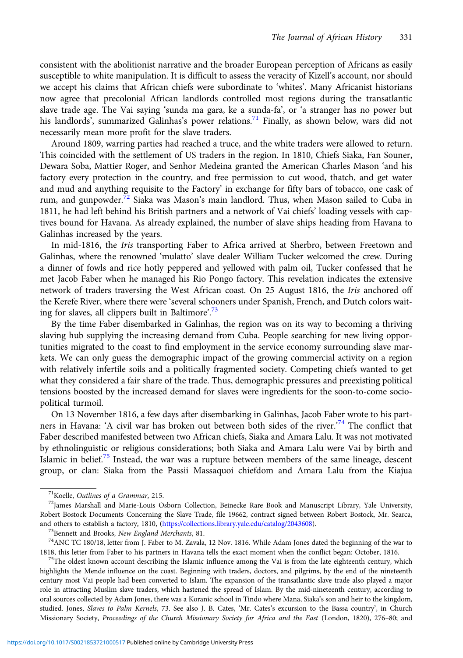consistent with the abolitionist narrative and the broader European perception of Africans as easily susceptible to white manipulation. It is difficult to assess the veracity of Kizell's account, nor should we accept his claims that African chiefs were subordinate to 'whites'. Many Africanist historians now agree that precolonial African landlords controlled most regions during the transatlantic slave trade age. The Vai saying 'sunda ma gara, ke a sunda-fa', or 'a stranger has no power but his landlords', summarized Galinhas's power relations.<sup>71</sup> Finally, as shown below, wars did not necessarily mean more profit for the slave traders.

Around 1809, warring parties had reached a truce, and the white traders were allowed to return. This coincided with the settlement of US traders in the region. In 1810, Chiefs Siaka, Fan Souner, Dewara Soba, Mattier Roger, and Senhor Medeina granted the American Charles Mason 'and his factory every protection in the country, and free permission to cut wood, thatch, and get water and mud and anything requisite to the Factory' in exchange for fifty bars of tobacco, one cask of rum, and gunpowder.<sup>72</sup> Siaka was Mason's main landlord. Thus, when Mason sailed to Cuba in 1811, he had left behind his British partners and a network of Vai chiefs' loading vessels with captives bound for Havana. As already explained, the number of slave ships heading from Havana to Galinhas increased by the years.

In mid-1816, the Iris transporting Faber to Africa arrived at Sherbro, between Freetown and Galinhas, where the renowned 'mulatto' slave dealer William Tucker welcomed the crew. During a dinner of fowls and rice hotly peppered and yellowed with palm oil, Tucker confessed that he met Jacob Faber when he managed his Rio Pongo factory. This revelation indicates the extensive network of traders traversing the West African coast. On 25 August 1816, the Iris anchored off the Kerefe River, where there were 'several schooners under Spanish, French, and Dutch colors waiting for slaves, all clippers built in Baltimore'.<sup>73</sup>

By the time Faber disembarked in Galinhas, the region was on its way to becoming a thriving slaving hub supplying the increasing demand from Cuba. People searching for new living opportunities migrated to the coast to find employment in the service economy surrounding slave markets. We can only guess the demographic impact of the growing commercial activity on a region with relatively infertile soils and a politically fragmented society. Competing chiefs wanted to get what they considered a fair share of the trade. Thus, demographic pressures and preexisting political tensions boosted by the increased demand for slaves were ingredients for the soon-to-come sociopolitical turmoil.

On 13 November 1816, a few days after disembarking in Galinhas, Jacob Faber wrote to his partners in Havana: 'A civil war has broken out between both sides of the river.'<sup>74</sup> The conflict that Faber described manifested between two African chiefs, Siaka and Amara Lalu. It was not motivated by ethnolinguistic or religious considerations; both Siaka and Amara Lalu were Vai by birth and Islamic in belief.<sup>75</sup> Instead, the war was a rupture between members of the same lineage, descent group, or clan: Siaka from the Passii Massaquoi chiefdom and Amara Lalu from the Kiajua

highlights the Mende influence on the coast. Beginning with traders, doctors, and pilgrims, by the end of the nineteenth century most Vai people had been converted to Islam. The expansion of the transatlantic slave trade also played a major role in attracting Muslim slave traders, which hastened the spread of Islam. By the mid-nineteenth century, according to oral sources collected by Adam Jones, there was a Koranic school in Tindo where Mana, Siaka's son and heir to the kingdom, studied. Jones, Slaves to Palm Kernels, 73. See also J. B. Cates, 'Mr. Cates's excursion to the Bassa country', in Church Missionary Society, Proceedings of the Church Missionary Society for Africa and the East (London, 1820), 276–80; and

<sup>&</sup>lt;sup>71</sup>Koelle, Outlines of a Grammar, 215.<br><sup>72</sup>James Marshall and Marie-Louis Osborn Collection, Beinecke Rare Book and Manuscript Library, Yale University, Robert Bostock Documents Concerning the Slave Trade, file 19662, contract signed between Robert Bostock, Mr. Searca, and others to establish a factory, 1810, ([https://collections.library.yale.edu/catalog/2043608\)](https://collections.library.yale.edu/catalog/2043608).<br><sup>73</sup>Bennett and Brooks, *New England Merchants*, 81.<br><sup>74</sup>ANC TC 180/18, letter from J. Faber to M. Zavala, 12 Nov. 1816. Whi

<sup>1818,</sup> this letter from Faber to his partners in Havana tells the exact moment when the conflict began: October, 1816.<br><sup>75</sup>The oldest known account describing the Islamic influence among the Vai is from the late eighteenth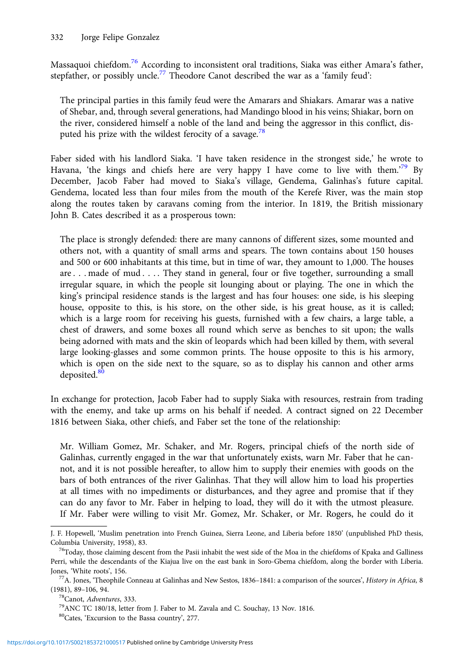Massaquoi chiefdom.<sup>76</sup> According to inconsistent oral traditions, Siaka was either Amara's father, stepfather, or possibly uncle.<sup>77</sup> Theodore Canot described the war as a 'family feud':

The principal parties in this family feud were the Amarars and Shiakars. Amarar was a native of Shebar, and, through several generations, had Mandingo blood in his veins; Shiakar, born on the river, considered himself a noble of the land and being the aggressor in this conflict, disputed his prize with the wildest ferocity of a savage.<sup>78</sup>

Faber sided with his landlord Siaka. 'I have taken residence in the strongest side,' he wrote to Havana, 'the kings and chiefs here are very happy I have come to live with them.<sup>79</sup> By December, Jacob Faber had moved to Siaka's village, Gendema, Galinhas's future capital. Gendema, located less than four miles from the mouth of the Kerefe River, was the main stop along the routes taken by caravans coming from the interior. In 1819, the British missionary John B. Cates described it as a prosperous town:

The place is strongly defended: there are many cannons of different sizes, some mounted and others not, with a quantity of small arms and spears. The town contains about 150 houses and 500 or 600 inhabitants at this time, but in time of war, they amount to 1,000. The houses are . . . made of mud . . . . They stand in general, four or five together, surrounding a small irregular square, in which the people sit lounging about or playing. The one in which the king's principal residence stands is the largest and has four houses: one side, is his sleeping house, opposite to this, is his store, on the other side, is his great house, as it is called; which is a large room for receiving his guests, furnished with a few chairs, a large table, a chest of drawers, and some boxes all round which serve as benches to sit upon; the walls being adorned with mats and the skin of leopards which had been killed by them, with several large looking-glasses and some common prints. The house opposite to this is his armory, which is open on the side next to the square, so as to display his cannon and other arms deposited.<sup>80</sup>

In exchange for protection, Jacob Faber had to supply Siaka with resources, restrain from trading with the enemy, and take up arms on his behalf if needed. A contract signed on 22 December 1816 between Siaka, other chiefs, and Faber set the tone of the relationship:

Mr. William Gomez, Mr. Schaker, and Mr. Rogers, principal chiefs of the north side of Galinhas, currently engaged in the war that unfortunately exists, warn Mr. Faber that he cannot, and it is not possible hereafter, to allow him to supply their enemies with goods on the bars of both entrances of the river Galinhas. That they will allow him to load his properties at all times with no impediments or disturbances, and they agree and promise that if they can do any favor to Mr. Faber in helping to load, they will do it with the utmost pleasure. If Mr. Faber were willing to visit Mr. Gomez, Mr. Schaker, or Mr. Rogers, he could do it

J. F. Hopewell, 'Muslim penetration into French Guinea, Sierra Leone, and Liberia before 1850' (unpublished PhD thesis,

Columbia University, 1958), 83. 76Today, those claiming descent from the Pasii inhabit the west side of the Moa in the chiefdoms of Kpaka and Galliness Perri, while the descendants of the Kiajua live on the east bank in Soro-Gbema chiefdom, along the border with Liberia.

Jones, 'White roots', 156. Jones, 156. 77A. Jones, 'White roots', 1836–1841: A comparison of the sources', *History in Africa*, 8

<sup>(1981), 89–106, 94. 78</sup>Canot, Adventures, 333. 78Canot, Adventures, 333. 79ANC TC 180/18, letter from J. Faber to M. Zavala and C. Souchay, 13 Nov. 1816.

<sup>80</sup>Cates, 'Excursion to the Bassa country', 277.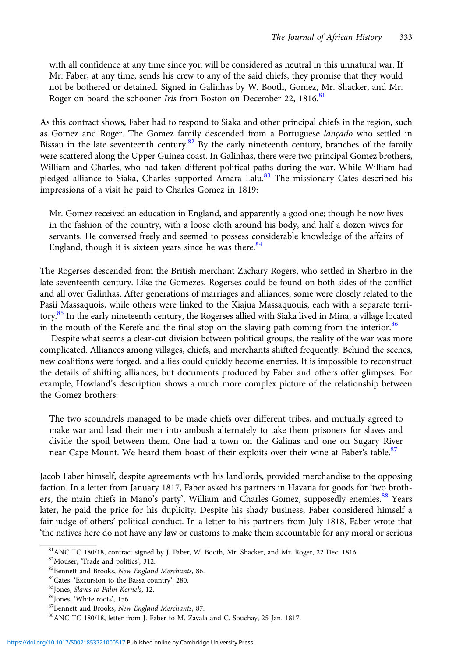with all confidence at any time since you will be considered as neutral in this unnatural war. If Mr. Faber, at any time, sends his crew to any of the said chiefs, they promise that they would not be bothered or detained. Signed in Galinhas by W. Booth, Gomez, Mr. Shacker, and Mr. Roger on board the schooner Iris from Boston on December 22, 1816.<sup>81</sup>

As this contract shows, Faber had to respond to Siaka and other principal chiefs in the region, such as Gomez and Roger. The Gomez family descended from a Portuguese lançado who settled in Bissau in the late seventeenth century.<sup>82</sup> By the early nineteenth century, branches of the family were scattered along the Upper Guinea coast. In Galinhas, there were two principal Gomez brothers, William and Charles, who had taken different political paths during the war. While William had pledged alliance to Siaka, Charles supported Amara Lalu.<sup>83</sup> The missionary Cates described his impressions of a visit he paid to Charles Gomez in 1819:

Mr. Gomez received an education in England, and apparently a good one; though he now lives in the fashion of the country, with a loose cloth around his body, and half a dozen wives for servants. He conversed freely and seemed to possess considerable knowledge of the affairs of England, though it is sixteen years since he was there. $84$ 

The Rogerses descended from the British merchant Zachary Rogers, who settled in Sherbro in the late seventeenth century. Like the Gomezes, Rogerses could be found on both sides of the conflict and all over Galinhas. After generations of marriages and alliances, some were closely related to the Pasii Massaquois, while others were linked to the Kiajua Massaquouis, each with a separate territory.<sup>85</sup> In the early nineteenth century, the Rogerses allied with Siaka lived in Mina, a village located in the mouth of the Kerefe and the final stop on the slaving path coming from the interior.<sup>86</sup>

Despite what seems a clear-cut division between political groups, the reality of the war was more complicated. Alliances among villages, chiefs, and merchants shifted frequently. Behind the scenes, new coalitions were forged, and allies could quickly become enemies. It is impossible to reconstruct the details of shifting alliances, but documents produced by Faber and others offer glimpses. For example, Howland's description shows a much more complex picture of the relationship between the Gomez brothers:

The two scoundrels managed to be made chiefs over different tribes, and mutually agreed to make war and lead their men into ambush alternately to take them prisoners for slaves and divide the spoil between them. One had a town on the Galinas and one on Sugary River near Cape Mount. We heard them boast of their exploits over their wine at Faber's table.<sup>87</sup>

Jacob Faber himself, despite agreements with his landlords, provided merchandise to the opposing faction. In a letter from January 1817, Faber asked his partners in Havana for goods for 'two brothers, the main chiefs in Mano's party', William and Charles Gomez, supposedly enemies.<sup>88</sup> Years later, he paid the price for his duplicity. Despite his shady business, Faber considered himself a fair judge of others' political conduct. In a letter to his partners from July 1818, Faber wrote that 'the natives here do not have any law or customs to make them accountable for any moral or serious

 $81$ ANC TC 180/18, contract signed by J. Faber, W. Booth, Mr. Shacker, and Mr. Roger, 22 Dec. 1816.<br> $82$ Mouser, 'Trade and politics', 312.

<sup>&</sup>lt;sup>83</sup>Bennett and Brooks, *New England Merchants*, 86.<br><sup>84</sup>Cates, 'Excursion to the Bassa country', 280.<br><sup>85</sup>Jones, *Slaves to Palm Kernels*, 12.<br><sup>86</sup>Jones, 'White roots', 156.<br><sup>87</sup>Bennett and Brooks, *New England Merchants*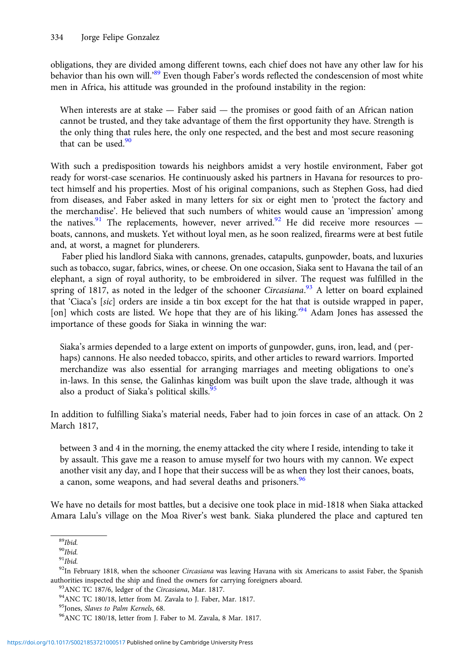obligations, they are divided among different towns, each chief does not have any other law for his behavior than his own will.<sup>89</sup> Even though Faber's words reflected the condescension of most white men in Africa, his attitude was grounded in the profound instability in the region:

When interests are at stake  $-$  Faber said  $-$  the promises or good faith of an African nation cannot be trusted, and they take advantage of them the first opportunity they have. Strength is the only thing that rules here, the only one respected, and the best and most secure reasoning that can be used. $90$ 

With such a predisposition towards his neighbors amidst a very hostile environment, Faber got ready for worst-case scenarios. He continuously asked his partners in Havana for resources to protect himself and his properties. Most of his original companions, such as Stephen Goss, had died from diseases, and Faber asked in many letters for six or eight men to 'protect the factory and the merchandise'. He believed that such numbers of whites would cause an 'impression' among the natives.<sup>91</sup> The replacements, however, never arrived.<sup>92</sup> He did receive more resources  $$ boats, cannons, and muskets. Yet without loyal men, as he soon realized, firearms were at best futile and, at worst, a magnet for plunderers.

Faber plied his landlord Siaka with cannons, grenades, catapults, gunpowder, boats, and luxuries such as tobacco, sugar, fabrics, wines, or cheese. On one occasion, Siaka sent to Havana the tail of an elephant, a sign of royal authority, to be embroidered in silver. The request was fulfilled in the spring of 1817, as noted in the ledger of the schooner Circasiana.<sup>93</sup> A letter on board explained that 'Ciaca's [sic] orders are inside a tin box except for the hat that is outside wrapped in paper, [on] which costs are listed. We hope that they are of his liking.'<sup>94</sup> Adam Jones has assessed the importance of these goods for Siaka in winning the war:

Siaka's armies depended to a large extent on imports of gunpowder, guns, iron, lead, and (perhaps) cannons. He also needed tobacco, spirits, and other articles to reward warriors. Imported merchandize was also essential for arranging marriages and meeting obligations to one's in-laws. In this sense, the Galinhas kingdom was built upon the slave trade, although it was also a product of Siaka's political skills.<sup>9</sup>

In addition to fulfilling Siaka's material needs, Faber had to join forces in case of an attack. On 2 March 1817,

between 3 and 4 in the morning, the enemy attacked the city where I reside, intending to take it by assault. This gave me a reason to amuse myself for two hours with my cannon. We expect another visit any day, and I hope that their success will be as when they lost their canoes, boats, a canon, some weapons, and had several deaths and prisoners.<sup>96</sup>

We have no details for most battles, but a decisive one took place in mid-1818 when Siaka attacked Amara Lalu's village on the Moa River's west bank. Siaka plundered the place and captured ten

 $89$ *Ibid.* 

 $90$ *Ibid.* 

 $91$ *Ibid.* 

<sup>&</sup>lt;sup>92</sup>In February 1818, when the schooner Circasiana was leaving Havana with six Americans to assist Faber, the Spanish authorities inspected the ship and fined the owners for carrying foreigners aboard. <sup>93</sup>ANC TC 187/6, ledger of the *Circasiana*, Mar. 1817. <sup>94</sup>ANC TC 180/18, letter from M. Zavala to J. Faber, Mar. 1817. <sup>95</sup>Jones, *Sla* 

<sup>&</sup>lt;sup>96</sup>ANC TC 180/18, letter from J. Faber to M. Zavala, 8 Mar. 1817.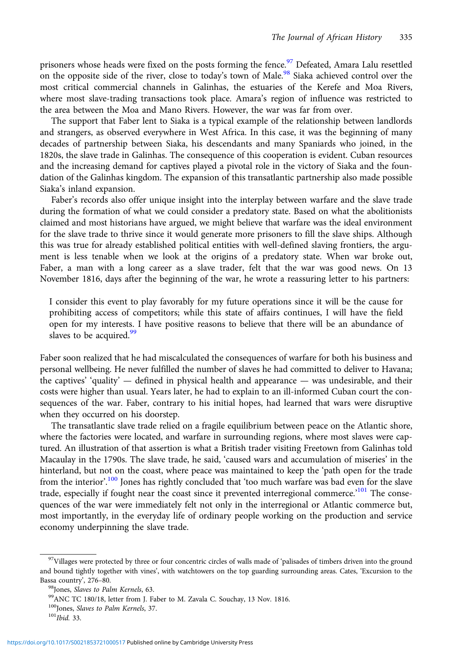prisoners whose heads were fixed on the posts forming the fence.<sup>97</sup> Defeated, Amara Lalu resettled on the opposite side of the river, close to today's town of Male.<sup>98</sup> Siaka achieved control over the most critical commercial channels in Galinhas, the estuaries of the Kerefe and Moa Rivers, where most slave-trading transactions took place. Amara's region of influence was restricted to the area between the Moa and Mano Rivers. However, the war was far from over.

The support that Faber lent to Siaka is a typical example of the relationship between landlords and strangers, as observed everywhere in West Africa. In this case, it was the beginning of many decades of partnership between Siaka, his descendants and many Spaniards who joined, in the 1820s, the slave trade in Galinhas. The consequence of this cooperation is evident. Cuban resources and the increasing demand for captives played a pivotal role in the victory of Siaka and the foundation of the Galinhas kingdom. The expansion of this transatlantic partnership also made possible Siaka's inland expansion.

Faber's records also offer unique insight into the interplay between warfare and the slave trade during the formation of what we could consider a predatory state. Based on what the abolitionists claimed and most historians have argued, we might believe that warfare was the ideal environment for the slave trade to thrive since it would generate more prisoners to fill the slave ships. Although this was true for already established political entities with well-defined slaving frontiers, the argument is less tenable when we look at the origins of a predatory state. When war broke out, Faber, a man with a long career as a slave trader, felt that the war was good news. On 13 November 1816, days after the beginning of the war, he wrote a reassuring letter to his partners:

I consider this event to play favorably for my future operations since it will be the cause for prohibiting access of competitors; while this state of affairs continues, I will have the field open for my interests. I have positive reasons to believe that there will be an abundance of slaves to be acquired.<sup>99</sup>

Faber soon realized that he had miscalculated the consequences of warfare for both his business and personal wellbeing. He never fulfilled the number of slaves he had committed to deliver to Havana; the captives' 'quality'  $-$  defined in physical health and appearance  $-$  was undesirable, and their costs were higher than usual. Years later, he had to explain to an ill-informed Cuban court the consequences of the war. Faber, contrary to his initial hopes, had learned that wars were disruptive when they occurred on his doorstep.

The transatlantic slave trade relied on a fragile equilibrium between peace on the Atlantic shore, where the factories were located, and warfare in surrounding regions, where most slaves were captured. An illustration of that assertion is what a British trader visiting Freetown from Galinhas told Macaulay in the 1790s. The slave trade, he said, 'caused wars and accumulation of miseries' in the hinterland, but not on the coast, where peace was maintained to keep the 'path open for the trade from the interior'.<sup>100</sup> Jones has rightly concluded that 'too much warfare was bad even for the slave trade, especially if fought near the coast since it prevented interregional commerce.<sup>'101</sup> The consequences of the war were immediately felt not only in the interregional or Atlantic commerce but, most importantly, in the everyday life of ordinary people working on the production and service economy underpinning the slave trade.

<sup>&</sup>lt;sup>97</sup>Villages were protected by three or four concentric circles of walls made of 'palisades of timbers driven into the ground and bound tightly together with vines', with watchtowers on the top guarding surrounding areas. Cates, 'Excursion to the Bassa country', 276–80.<br><sup>98</sup>Jones, Slaves to Palm Kernels, 63. 99<br><sup>99</sup>ANC TC 180/18, letter from J. Faber to M. Zavala C. Souchay, 13 Nov. 1816.

 $100$  Jones, *Slaves to Palm Kernels*, 37.<br> $101$ *Ibid.* 33.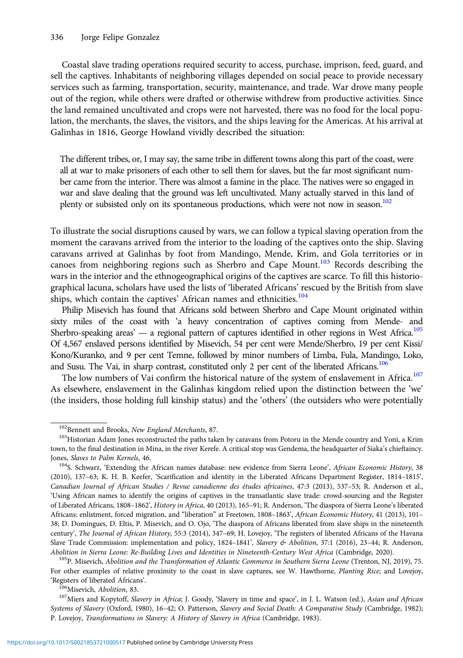Coastal slave trading operations required security to access, purchase, imprison, feed, guard, and sell the captives. Inhabitants of neighboring villages depended on social peace to provide necessary services such as farming, transportation, security, maintenance, and trade. War drove many people out of the region, while others were drafted or otherwise withdrew from productive activities. Since the land remained uncultivated and crops were not harvested, there was no food for the local population, the merchants, the slaves, the visitors, and the ships leaving for the Americas. At his arrival at Galinhas in 1816, George Howland vividly described the situation:

The different tribes, or, I may say, the same tribe in different towns along this part of the coast, were all at war to make prisoners of each other to sell them for slaves, but the far most significant number came from the interior. There was almost a famine in the place. The natives were so engaged in war and slave dealing that the ground was left uncultivated. Many actually starved in this land of plenty or subsisted only on its spontaneous productions, which were not now in season.<sup>102</sup>

To illustrate the social disruptions caused by wars, we can follow a typical slaving operation from the moment the caravans arrived from the interior to the loading of the captives onto the ship. Slaving caravans arrived at Galinhas by foot from Mandingo, Mende, Krim, and Gola territories or in canoes from neighboring regions such as Sherbro and Cape Mount.<sup>103</sup> Records describing the wars in the interior and the ethnogeographical origins of the captives are scarce. To fill this historiographical lacuna, scholars have used the lists of 'liberated Africans' rescued by the British from slave ships, which contain the captives' African names and ethnicities.<sup>104</sup>

Philip Misevich has found that Africans sold between Sherbro and Cape Mount originated within sixty miles of the coast with 'a heavy concentration of captives coming from Mende- and Sherbro-speaking areas' — a regional pattern of captures identified in other regions in West Africa.<sup>105</sup> Of 4,567 enslaved persons identified by Misevich, 54 per cent were Mende/Sherbro, 19 per cent Kissi/ Kono/Kuranko, and 9 per cent Temne, followed by minor numbers of Limba, Fula, Mandingo, Loko, and Susu. The Vai, in sharp contrast, constituted only 2 per cent of the liberated Africans.<sup>106</sup>

The low numbers of Vai confirm the historical nature of the system of enslavement in Africa.<sup>107</sup> As elsewhere, enslavement in the Galinhas kingdom relied upon the distinction between the 'we' (the insiders, those holding full kinship status) and the 'others' (the outsiders who were potentially

For other examples of relative proximity to the coast in slave captures, see W. Hawthorne, Planting Rice; and Lovejoy, 'Registers of liberated Africans'.<br><sup>106</sup>Misevich, *Abolition*, 83. <sup>107</sup>Miers and Kopytoff, Slavery in Africa; J. Goody, 'Slavery in time and space', in J. L. Watson (ed.), *Asian and African* 

Systems of Slavery (Oxford, 1980), 16–42; O. Patterson, Slavery and Social Death: A Comparative Study (Cambridge, 1982); P. Lovejoy, Transformations in Slavery: A History of Slavery in Africa (Cambridge, 1983).

 $^{102}$ Bennett and Brooks, New England Merchants, 87.  $^{103}$ Historian Adam Jones reconstructed the paths taken by caravans from Potoru in the Mende country and Yoni, a Krim town, to the final destination in Mina, in the river Kerefe. A critical stop was Gendema, the headquarter of Siaka's chieftaincy.

Jones, Slaves to Palm Kernels, 46.<br><sup>104</sup>S. Schwarz, 'Extending the African names database: new evidence from Sierra Leone', African Economic History, 38 (2010), 137–63; K. H. B. Keefer, 'Scarification and identity in the Liberated Africans Department Register, 1814–1815', Canadian Journal of African Studies / Revue canadienne des études africaines, 47:3 (2013), 537–53; R. Anderson et al., 'Using African names to identify the origins of captives in the transatlantic slave trade: crowd-sourcing and the Register of Liberated Africans, 1808–1862', History in Africa, 40 (2013), 165–91; R. Anderson, 'The diaspora of Sierra Leone's liberated Africans: enlistment, forced migration, and "liberation" at Freetown, 1808–1863', African Economic History, 41 (2013), 101– 38; D. Domingues, D. Eltis, P. Misevich, and O. Ojo, 'The diaspora of Africans liberated from slave ships in the nineteenth century', The Journal of African History, 55:3 (2014), 347–69; H. Lovejoy, 'The registers of liberated Africans of the Havana Slave Trade Commission: implementation and policy, 1824–1841', Slavery & Abolition, 37:1 (2016), 23-44; R. Anderson, Abolition in Sierra Leone: Re-Building Lives and Identities in Nineteenth-Century West Africa (Cambridge, 2020).<br><sup>105</sup>P. Misevich, Abolition and the Transformation of Atlantic Commerce in Southern Sierra Leone (Trenton, NJ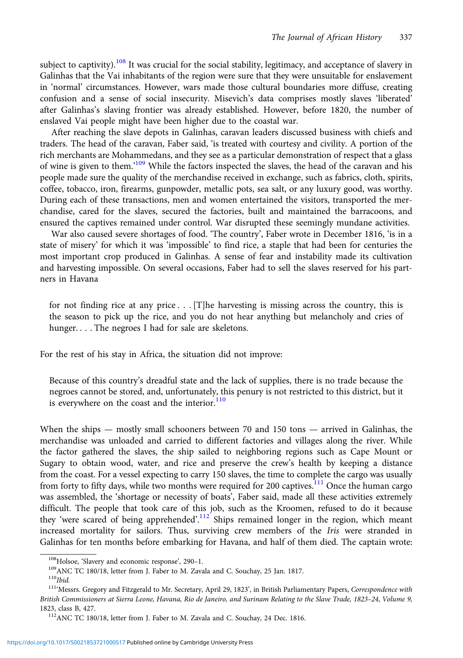subject to captivity).<sup>108</sup> It was crucial for the social stability, legitimacy, and acceptance of slavery in Galinhas that the Vai inhabitants of the region were sure that they were unsuitable for enslavement in 'normal' circumstances. However, wars made those cultural boundaries more diffuse, creating confusion and a sense of social insecurity. Misevich's data comprises mostly slaves 'liberated' after Galinhas's slaving frontier was already established. However, before 1820, the number of enslaved Vai people might have been higher due to the coastal war.

After reaching the slave depots in Galinhas, caravan leaders discussed business with chiefs and traders. The head of the caravan, Faber said, 'is treated with courtesy and civility. A portion of the rich merchants are Mohammedans, and they see as a particular demonstration of respect that a glass of wine is given to them.<sup>109</sup> While the factors inspected the slaves, the head of the caravan and his people made sure the quality of the merchandise received in exchange, such as fabrics, cloth, spirits, coffee, tobacco, iron, firearms, gunpowder, metallic pots, sea salt, or any luxury good, was worthy. During each of these transactions, men and women entertained the visitors, transported the merchandise, cared for the slaves, secured the factories, built and maintained the barracoons, and ensured the captives remained under control. War disrupted these seemingly mundane activities.

War also caused severe shortages of food. 'The country', Faber wrote in December 1816, 'is in a state of misery' for which it was 'impossible' to find rice, a staple that had been for centuries the most important crop produced in Galinhas. A sense of fear and instability made its cultivation and harvesting impossible. On several occasions, Faber had to sell the slaves reserved for his partners in Havana

for not finding rice at any price . . . [T]he harvesting is missing across the country, this is the season to pick up the rice, and you do not hear anything but melancholy and cries of hunger. . . . The negroes I had for sale are skeletons.

For the rest of his stay in Africa, the situation did not improve:

Because of this country's dreadful state and the lack of supplies, there is no trade because the negroes cannot be stored, and, unfortunately, this penury is not restricted to this district, but it is everywhere on the coast and the interior. $110$ 

When the ships — mostly small schooners between 70 and 150 tons — arrived in Galinhas, the merchandise was unloaded and carried to different factories and villages along the river. While the factor gathered the slaves, the ship sailed to neighboring regions such as Cape Mount or Sugary to obtain wood, water, and rice and preserve the crew's health by keeping a distance from the coast. For a vessel expecting to carry 150 slaves, the time to complete the cargo was usually from forty to fifty days, while two months were required for 200 captives.<sup>111</sup> Once the human cargo was assembled, the 'shortage or necessity of boats', Faber said, made all these activities extremely difficult. The people that took care of this job, such as the Kroomen, refused to do it because they 'were scared of being apprehended'.<sup>112</sup> Ships remained longer in the region, which meant increased mortality for sailors. Thus, surviving crew members of the Iris were stranded in Galinhas for ten months before embarking for Havana, and half of them died. The captain wrote:

<sup>&</sup>lt;sup>108</sup>Holsoe, 'Slavery and economic response', 290–1.<br><sup>109</sup>ANC TC 180/18, letter from J. Faber to M. Zavala and C. Souchay, 25 Jan. 1817.<br><sup>110</sup>Ibid.<br><sup>111</sup>Messrs. Gregory and Fitzgerald to Mr. Secretary, April 29, 1823', in British Commissioners at Sierra Leone, Havana, Rio de Janeiro, and Surinam Relating to the Slave Trade, 1823–24, Volume 9, 1823, class B, 427. 112ANC TC 180/18, letter from J. Faber to M. Zavala and C. Souchay, 24 Dec. 1816.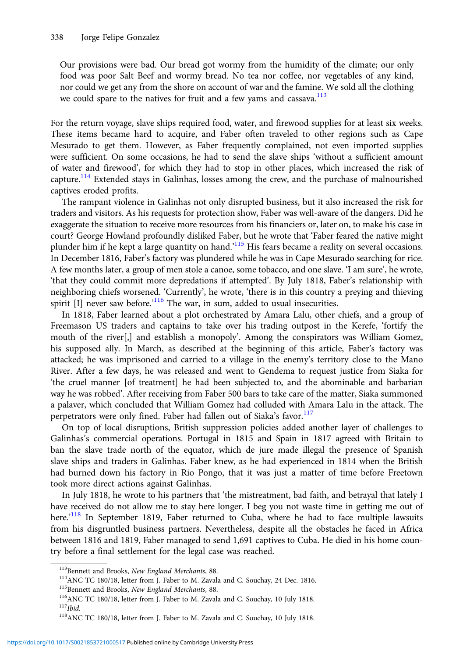Our provisions were bad. Our bread got wormy from the humidity of the climate; our only food was poor Salt Beef and wormy bread. No tea nor coffee, nor vegetables of any kind, nor could we get any from the shore on account of war and the famine. We sold all the clothing we could spare to the natives for fruit and a few yams and cassava.<sup>113</sup>

For the return voyage, slave ships required food, water, and firewood supplies for at least six weeks. These items became hard to acquire, and Faber often traveled to other regions such as Cape Mesurado to get them. However, as Faber frequently complained, not even imported supplies were sufficient. On some occasions, he had to send the slave ships 'without a sufficient amount of water and firewood', for which they had to stop in other places, which increased the risk of capture.<sup>114</sup> Extended stays in Galinhas, losses among the crew, and the purchase of malnourished captives eroded profits.

The rampant violence in Galinhas not only disrupted business, but it also increased the risk for traders and visitors. As his requests for protection show, Faber was well-aware of the dangers. Did he exaggerate the situation to receive more resources from his financiers or, later on, to make his case in court? George Howland profoundly disliked Faber, but he wrote that 'Faber feared the native might plunder him if he kept a large quantity on hand.<sup>115</sup> His fears became a reality on several occasions. In December 1816, Faber's factory was plundered while he was in Cape Mesurado searching for rice. A few months later, a group of men stole a canoe, some tobacco, and one slave. 'I am sure', he wrote, 'that they could commit more depredations if attempted'. By July 1818, Faber's relationship with neighboring chiefs worsened. 'Currently', he wrote, 'there is in this country a preying and thieving spirit [I] never saw before.<sup>'116</sup> The war, in sum, added to usual insecurities.

In 1818, Faber learned about a plot orchestrated by Amara Lalu, other chiefs, and a group of Freemason US traders and captains to take over his trading outpost in the Kerefe, 'fortify the mouth of the river[,] and establish a monopoly'. Among the conspirators was William Gomez, his supposed ally. In March, as described at the beginning of this article, Faber's factory was attacked; he was imprisoned and carried to a village in the enemy's territory close to the Mano River. After a few days, he was released and went to Gendema to request justice from Siaka for 'the cruel manner [of treatment] he had been subjected to, and the abominable and barbarian way he was robbed'. After receiving from Faber 500 bars to take care of the matter, Siaka summoned a palaver, which concluded that William Gomez had colluded with Amara Lalu in the attack. The perpetrators were only fined. Faber had fallen out of Siaka's favor.<sup>117</sup>

On top of local disruptions, British suppression policies added another layer of challenges to Galinhas's commercial operations. Portugal in 1815 and Spain in 1817 agreed with Britain to ban the slave trade north of the equator, which de jure made illegal the presence of Spanish slave ships and traders in Galinhas. Faber knew, as he had experienced in 1814 when the British had burned down his factory in Rio Pongo, that it was just a matter of time before Freetown took more direct actions against Galinhas.

In July 1818, he wrote to his partners that 'the mistreatment, bad faith, and betrayal that lately I have received do not allow me to stay here longer. I beg you not waste time in getting me out of here.<sup>'118</sup> In September 1819, Faber returned to Cuba, where he had to face multiple lawsuits from his disgruntled business partners. Nevertheless, despite all the obstacles he faced in Africa between 1816 and 1819, Faber managed to send 1,691 captives to Cuba. He died in his home country before a final settlement for the legal case was reached.

 $^{113}$ Bennett and Brooks, *New England Merchants*, 88.<br> $^{114}$  ANC TC 180/18, letter from J. Faber to M. Zavala and C. Souchay, 24 Dec. 1816.<br> $^{115}$ Bennett and Brooks, *New England Merchants*, 88.<br> $^{116}$  ANC TC 180/18,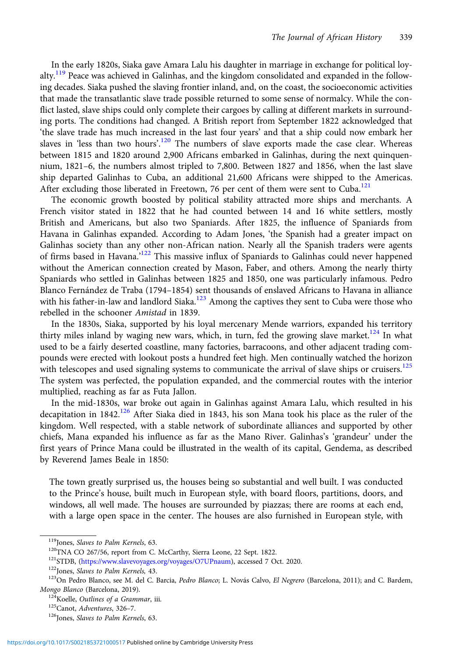In the early 1820s, Siaka gave Amara Lalu his daughter in marriage in exchange for political loyalty.<sup>119</sup> Peace was achieved in Galinhas, and the kingdom consolidated and expanded in the following decades. Siaka pushed the slaving frontier inland, and, on the coast, the socioeconomic activities that made the transatlantic slave trade possible returned to some sense of normalcy. While the conflict lasted, slave ships could only complete their cargoes by calling at different markets in surrounding ports. The conditions had changed. A British report from September 1822 acknowledged that 'the slave trade has much increased in the last four years' and that a ship could now embark her slaves in 'less than two hours'.<sup>120</sup> The numbers of slave exports made the case clear. Whereas between 1815 and 1820 around 2,900 Africans embarked in Galinhas, during the next quinquennium, 1821–6, the numbers almost tripled to 7,800. Between 1827 and 1856, when the last slave ship departed Galinhas to Cuba, an additional 21,600 Africans were shipped to the Americas. After excluding those liberated in Freetown, 76 per cent of them were sent to Cuba.<sup>121</sup>

The economic growth boosted by political stability attracted more ships and merchants. A French visitor stated in 1822 that he had counted between 14 and 16 white settlers, mostly British and Americans, but also two Spaniards. After 1825, the influence of Spaniards from Havana in Galinhas expanded. According to Adam Jones, 'the Spanish had a greater impact on Galinhas society than any other non-African nation. Nearly all the Spanish traders were agents of firms based in Havana.<sup>'122</sup> This massive influx of Spaniards to Galinhas could never happened without the American connection created by Mason, Faber, and others. Among the nearly thirty Spaniards who settled in Galinhas between 1825 and 1850, one was particularly infamous. Pedro Blanco Fernández de Traba (1794–1854) sent thousands of enslaved Africans to Havana in alliance with his father-in-law and landlord Siaka.<sup>123</sup> Among the captives they sent to Cuba were those who rebelled in the schooner Amistad in 1839.

In the 1830s, Siaka, supported by his loyal mercenary Mende warriors, expanded his territory thirty miles inland by waging new wars, which, in turn, fed the growing slave market.<sup>124</sup> In what used to be a fairly deserted coastline, many factories, barracoons, and other adjacent trading compounds were erected with lookout posts a hundred feet high. Men continually watched the horizon with telescopes and used signaling systems to communicate the arrival of slave ships or cruisers.<sup>125</sup> The system was perfected, the population expanded, and the commercial routes with the interior multiplied, reaching as far as Futa Jallon.

In the mid-1830s, war broke out again in Galinhas against Amara Lalu, which resulted in his decapitation in 1842.<sup>126</sup> After Siaka died in 1843, his son Mana took his place as the ruler of the kingdom. Well respected, with a stable network of subordinate alliances and supported by other chiefs, Mana expanded his influence as far as the Mano River. Galinhas's 'grandeur' under the first years of Prince Mana could be illustrated in the wealth of its capital, Gendema, as described by Reverend James Beale in 1850:

The town greatly surprised us, the houses being so substantial and well built. I was conducted to the Prince's house, built much in European style, with board floors, partitions, doors, and windows, all well made. The houses are surrounded by piazzas; there are rooms at each end, with a large open space in the center. The houses are also furnished in European style, with

<sup>&</sup>lt;sup>119</sup>Jones, *Slaves to Palm Kernels*, 63.<br><sup>120</sup>TNA CO 267/56, report from C. McCarthy, Sierra Leone, 22 Sept. 1822.<br><sup>121</sup>STDB, [\(https://www.slavevoyages.org/voyages/O7UPnaum\)](https://www.slavevoyages.org/voyages/O7UPnaum), accessed 7 Oct. 2020.<br><sup>122</sup>Jones, *Slaves to P* Mongo Blanco (Barcelona, 2019).<br><sup>124</sup>Koelle, *Outlines of a Grammar*, iii.<br><sup>125</sup>Canot, *Adventures*, 326–7.<br><sup>126</sup>Jones, *Slaves to Palm Kernels*, 63.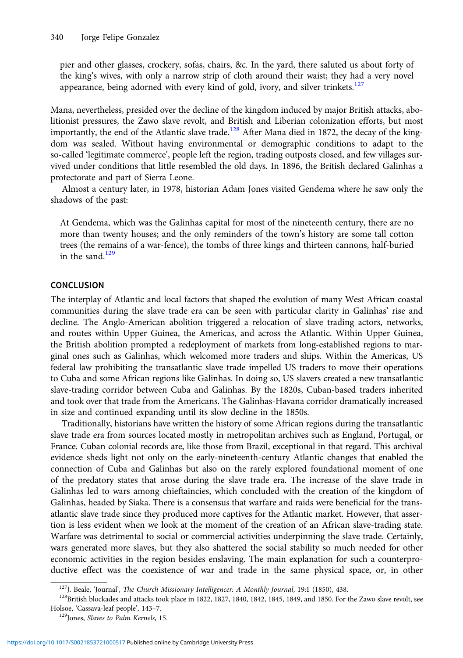pier and other glasses, crockery, sofas, chairs, &c. In the yard, there saluted us about forty of the king's wives, with only a narrow strip of cloth around their waist; they had a very novel appearance, being adorned with every kind of gold, ivory, and silver trinkets.<sup>127</sup>

Mana, nevertheless, presided over the decline of the kingdom induced by major British attacks, abolitionist pressures, the Zawo slave revolt, and British and Liberian colonization efforts, but most importantly, the end of the Atlantic slave trade.<sup>128</sup> After Mana died in 1872, the decay of the kingdom was sealed. Without having environmental or demographic conditions to adapt to the so-called 'legitimate commerce', people left the region, trading outposts closed, and few villages survived under conditions that little resembled the old days. In 1896, the British declared Galinhas a protectorate and part of Sierra Leone.

Almost a century later, in 1978, historian Adam Jones visited Gendema where he saw only the shadows of the past:

At Gendema, which was the Galinhas capital for most of the nineteenth century, there are no more than twenty houses; and the only reminders of the town's history are some tall cotton trees (the remains of a war-fence), the tombs of three kings and thirteen cannons, half-buried in the sand.<sup>129</sup>

## **CONCLUSION**

The interplay of Atlantic and local factors that shaped the evolution of many West African coastal communities during the slave trade era can be seen with particular clarity in Galinhas' rise and decline. The Anglo-American abolition triggered a relocation of slave trading actors, networks, and routes within Upper Guinea, the Americas, and across the Atlantic. Within Upper Guinea, the British abolition prompted a redeployment of markets from long-established regions to marginal ones such as Galinhas, which welcomed more traders and ships. Within the Americas, US federal law prohibiting the transatlantic slave trade impelled US traders to move their operations to Cuba and some African regions like Galinhas. In doing so, US slavers created a new transatlantic slave-trading corridor between Cuba and Galinhas. By the 1820s, Cuban-based traders inherited and took over that trade from the Americans. The Galinhas-Havana corridor dramatically increased in size and continued expanding until its slow decline in the 1850s.

Traditionally, historians have written the history of some African regions during the transatlantic slave trade era from sources located mostly in metropolitan archives such as England, Portugal, or France. Cuban colonial records are, like those from Brazil, exceptional in that regard. This archival evidence sheds light not only on the early-nineteenth-century Atlantic changes that enabled the connection of Cuba and Galinhas but also on the rarely explored foundational moment of one of the predatory states that arose during the slave trade era. The increase of the slave trade in Galinhas led to wars among chieftaincies, which concluded with the creation of the kingdom of Galinhas, headed by Siaka. There is a consensus that warfare and raids were beneficial for the transatlantic slave trade since they produced more captives for the Atlantic market. However, that assertion is less evident when we look at the moment of the creation of an African slave-trading state. Warfare was detrimental to social or commercial activities underpinning the slave trade. Certainly, wars generated more slaves, but they also shattered the social stability so much needed for other economic activities in the region besides enslaving. The main explanation for such a counterproductive effect was the coexistence of war and trade in the same physical space, or, in other

<sup>&</sup>lt;sup>127</sup>J. Beale, 'Journal', *The Church Missionary Intelligencer: A Monthly Journal*, 19:1 (1850), 438. <sup>128</sup>British blockades and attacks took place in 1822, 1827, 1840, 1842, 1845, 1849, and 1850. For the Zawo slave revol Holsoe, 'Cassava-leaf people', 143-7.<br><sup>129</sup>Jones, *Slaves to Palm Kernels*, 15.